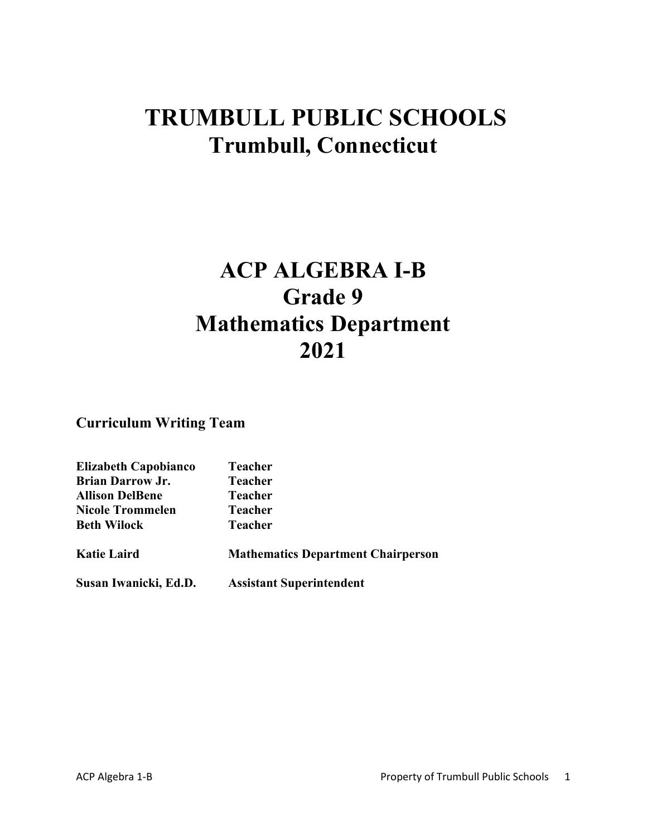# **TRUMBULL PUBLIC SCHOOLS Trumbull, Connecticut**

# **ACP ALGEBRA I-B Grade 9 Mathematics Department 2021**

**Curriculum Writing Team**

| <b>Elizabeth Capobianco</b> | <b>Teacher</b>                            |
|-----------------------------|-------------------------------------------|
| <b>Brian Darrow Jr.</b>     | <b>Teacher</b>                            |
| <b>Allison DelBene</b>      | <b>Teacher</b>                            |
| <b>Nicole Trommelen</b>     | <b>Teacher</b>                            |
| <b>Beth Wilock</b>          | <b>Teacher</b>                            |
| <b>Katie Laird</b>          | <b>Mathematics Department Chairperson</b> |
| Susan Iwanicki, Ed.D.       | <b>Assistant Superintendent</b>           |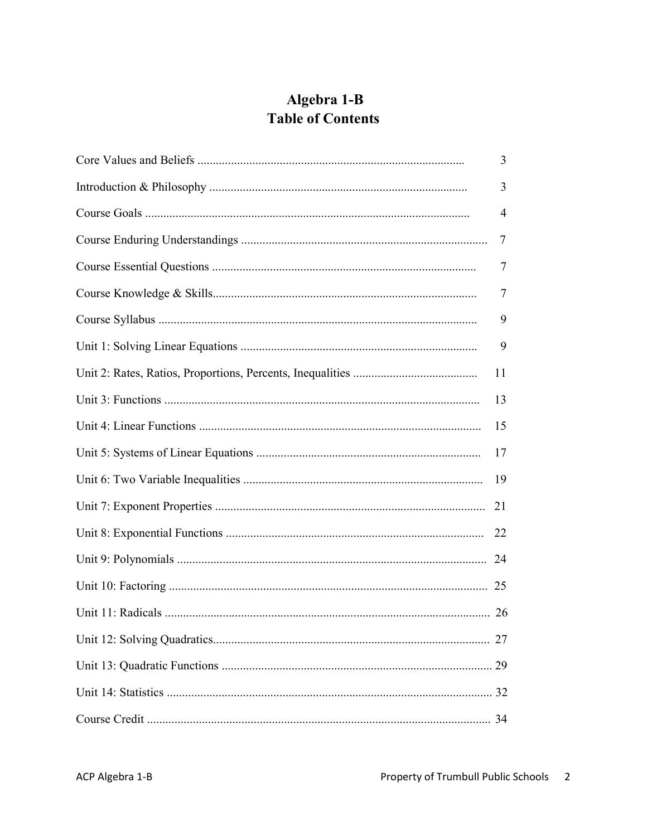## Algebra 1-B **Table of Contents**

| 3   |
|-----|
| 3   |
| 4   |
| 7   |
| 7   |
| 7   |
| 9   |
| 9   |
| 11  |
| 13  |
| 15  |
| 17  |
| -19 |
| 21  |
| 22  |
|     |
|     |
|     |
|     |
|     |
|     |
|     |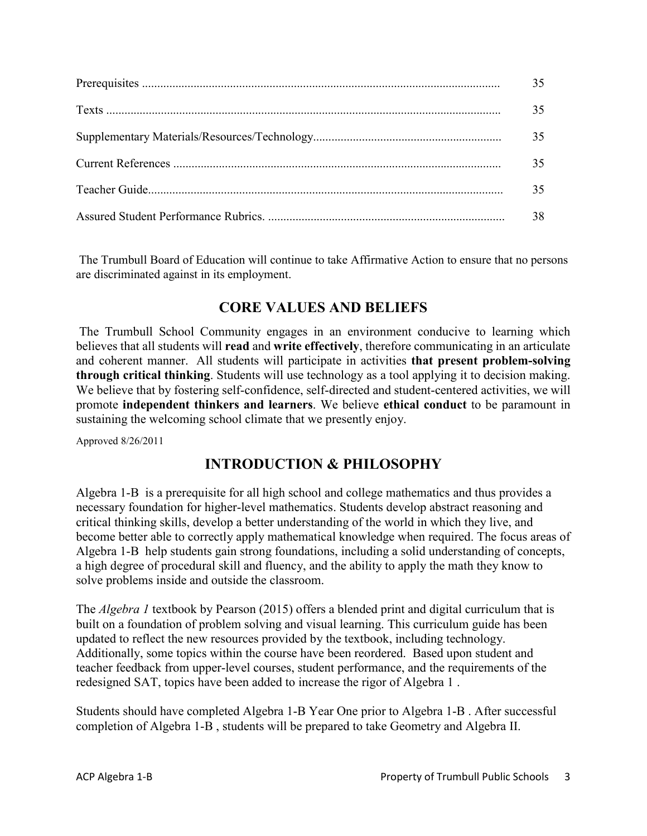| 35. |
|-----|
|     |
|     |
|     |

The Trumbull Board of Education will continue to take Affirmative Action to ensure that no persons are discriminated against in its employment.

## **CORE VALUES AND BELIEFS**

The Trumbull School Community engages in an environment conducive to learning which believes that all students will **read** and **write effectively**, therefore communicating in an articulate and coherent manner. All students will participate in activities **that present problem-solving through critical thinking**. Students will use technology as a tool applying it to decision making. We believe that by fostering self-confidence, self-directed and student-centered activities, we will promote **independent thinkers and learners**. We believe **ethical conduct** to be paramount in sustaining the welcoming school climate that we presently enjoy.

Approved 8/26/2011

## **INTRODUCTION & PHILOSOPHY**

Algebra 1-B is a prerequisite for all high school and college mathematics and thus provides a necessary foundation for higher-level mathematics. Students develop abstract reasoning and critical thinking skills, develop a better understanding of the world in which they live, and become better able to correctly apply mathematical knowledge when required. The focus areas of Algebra 1-B help students gain strong foundations, including a solid understanding of concepts, a high degree of procedural skill and fluency, and the ability to apply the math they know to solve problems inside and outside the classroom.

The *Algebra 1* textbook by Pearson (2015) offers a blended print and digital curriculum that is built on a foundation of problem solving and visual learning. This curriculum guide has been updated to reflect the new resources provided by the textbook, including technology. Additionally, some topics within the course have been reordered. Based upon student and teacher feedback from upper-level courses, student performance, and the requirements of the redesigned SAT, topics have been added to increase the rigor of Algebra 1 .

Students should have completed Algebra 1-B Year One prior to Algebra 1-B . After successful completion of Algebra 1-B , students will be prepared to take Geometry and Algebra II.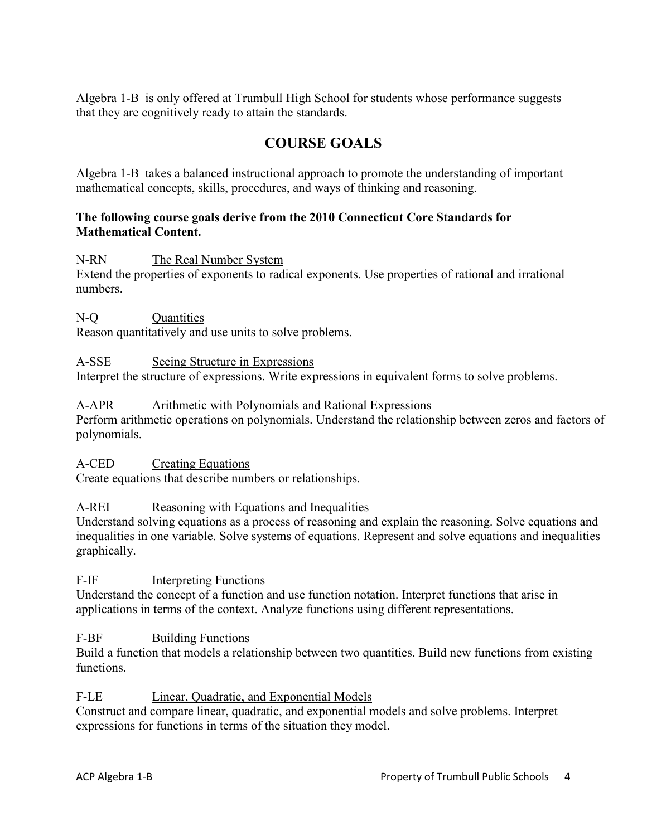Algebra 1-B is only offered at Trumbull High School for students whose performance suggests that they are cognitively ready to attain the standards.

## **COURSE GOALS**

Algebra 1-B takes a balanced instructional approach to promote the understanding of important mathematical concepts, skills, procedures, and ways of thinking and reasoning.

## **The following course goals derive from the 2010 Connecticut Core Standards for Mathematical Content.**

N-RN The Real Number System

Extend the properties of exponents to radical exponents. Use properties of rational and irrational numbers.

## N-O Ouantities

Reason quantitatively and use units to solve problems.

## A-SSE Seeing Structure in Expressions

Interpret the structure of expressions. Write expressions in equivalent forms to solve problems.

## A-APR Arithmetic with Polynomials and Rational Expressions

Perform arithmetic operations on polynomials. Understand the relationship between zeros and factors of polynomials.

## A-CED Creating Equations

Create equations that describe numbers or relationships.

## A-REI Reasoning with Equations and Inequalities

Understand solving equations as a process of reasoning and explain the reasoning. Solve equations and inequalities in one variable. Solve systems of equations. Represent and solve equations and inequalities graphically.

## F-IF Interpreting Functions

Understand the concept of a function and use function notation. Interpret functions that arise in applications in terms of the context. Analyze functions using different representations.

## F-BF Building Functions

Build a function that models a relationship between two quantities. Build new functions from existing functions.

## F-LE Linear, Quadratic, and Exponential Models

Construct and compare linear, quadratic, and exponential models and solve problems. Interpret expressions for functions in terms of the situation they model.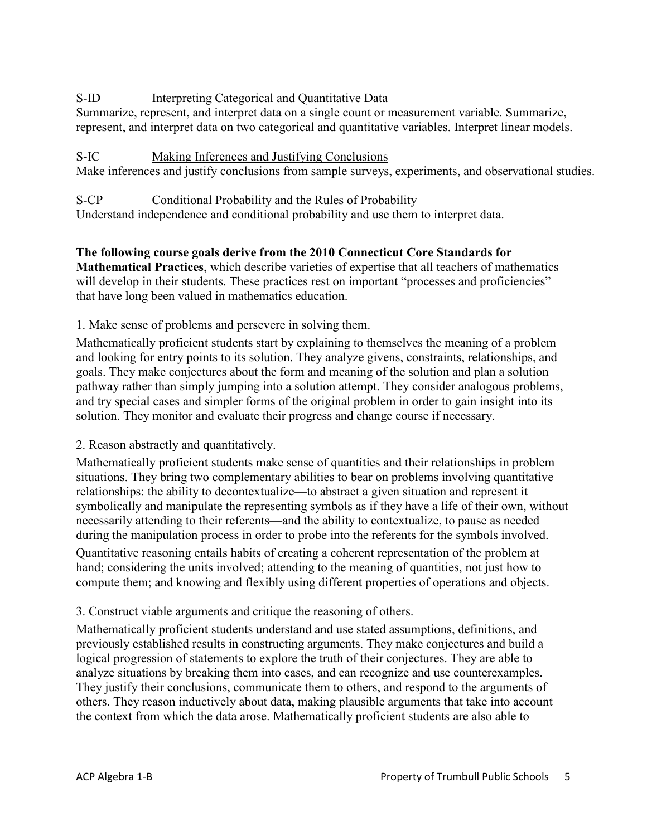## S-ID Interpreting Categorical and Quantitative Data

Summarize, represent, and interpret data on a single count or measurement variable. Summarize, represent, and interpret data on two categorical and quantitative variables. Interpret linear models.

## S-IC Making Inferences and Justifying Conclusions

Make inferences and justify conclusions from sample surveys, experiments, and observational studies.

S-CP Conditional Probability and the Rules of Probability Understand independence and conditional probability and use them to interpret data.

#### **The following course goals derive from the 2010 Connecticut Core Standards for Mathematical Practices**, which describe varieties of expertise that all teachers of mathematics will develop in their students. These practices rest on important "processes and proficiencies" that have long been valued in mathematics education.

1. Make sense of problems and persevere in solving them.

Mathematically proficient students start by explaining to themselves the meaning of a problem and looking for entry points to its solution. They analyze givens, constraints, relationships, and goals. They make conjectures about the form and meaning of the solution and plan a solution pathway rather than simply jumping into a solution attempt. They consider analogous problems, and try special cases and simpler forms of the original problem in order to gain insight into its solution. They monitor and evaluate their progress and change course if necessary.

## 2. Reason abstractly and quantitatively.

Mathematically proficient students make sense of quantities and their relationships in problem situations. They bring two complementary abilities to bear on problems involving quantitative relationships: the ability to decontextualize—to abstract a given situation and represent it symbolically and manipulate the representing symbols as if they have a life of their own, without necessarily attending to their referents—and the ability to contextualize, to pause as needed during the manipulation process in order to probe into the referents for the symbols involved.

Quantitative reasoning entails habits of creating a coherent representation of the problem at hand; considering the units involved; attending to the meaning of quantities, not just how to compute them; and knowing and flexibly using different properties of operations and objects.

## 3. Construct viable arguments and critique the reasoning of others.

Mathematically proficient students understand and use stated assumptions, definitions, and previously established results in constructing arguments. They make conjectures and build a logical progression of statements to explore the truth of their conjectures. They are able to analyze situations by breaking them into cases, and can recognize and use counterexamples. They justify their conclusions, communicate them to others, and respond to the arguments of others. They reason inductively about data, making plausible arguments that take into account the context from which the data arose. Mathematically proficient students are also able to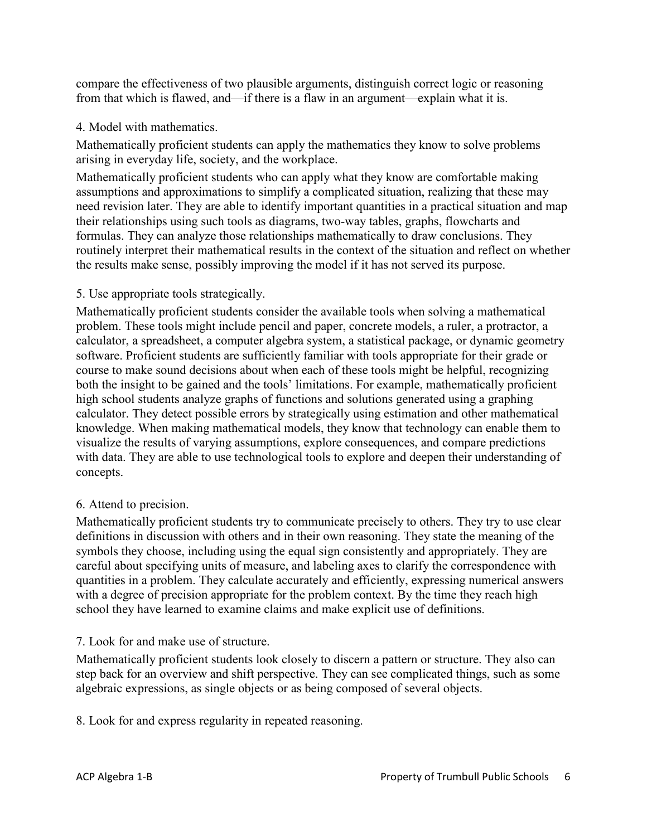compare the effectiveness of two plausible arguments, distinguish correct logic or reasoning from that which is flawed, and—if there is a flaw in an argument—explain what it is.

## 4. Model with mathematics.

Mathematically proficient students can apply the mathematics they know to solve problems arising in everyday life, society, and the workplace.

Mathematically proficient students who can apply what they know are comfortable making assumptions and approximations to simplify a complicated situation, realizing that these may need revision later. They are able to identify important quantities in a practical situation and map their relationships using such tools as diagrams, two-way tables, graphs, flowcharts and formulas. They can analyze those relationships mathematically to draw conclusions. They routinely interpret their mathematical results in the context of the situation and reflect on whether the results make sense, possibly improving the model if it has not served its purpose.

## 5. Use appropriate tools strategically.

Mathematically proficient students consider the available tools when solving a mathematical problem. These tools might include pencil and paper, concrete models, a ruler, a protractor, a calculator, a spreadsheet, a computer algebra system, a statistical package, or dynamic geometry software. Proficient students are sufficiently familiar with tools appropriate for their grade or course to make sound decisions about when each of these tools might be helpful, recognizing both the insight to be gained and the tools' limitations. For example, mathematically proficient high school students analyze graphs of functions and solutions generated using a graphing calculator. They detect possible errors by strategically using estimation and other mathematical knowledge. When making mathematical models, they know that technology can enable them to visualize the results of varying assumptions, explore consequences, and compare predictions with data. They are able to use technological tools to explore and deepen their understanding of concepts.

## 6. Attend to precision.

Mathematically proficient students try to communicate precisely to others. They try to use clear definitions in discussion with others and in their own reasoning. They state the meaning of the symbols they choose, including using the equal sign consistently and appropriately. They are careful about specifying units of measure, and labeling axes to clarify the correspondence with quantities in a problem. They calculate accurately and efficiently, expressing numerical answers with a degree of precision appropriate for the problem context. By the time they reach high school they have learned to examine claims and make explicit use of definitions.

## 7. Look for and make use of structure.

Mathematically proficient students look closely to discern a pattern or structure. They also can step back for an overview and shift perspective. They can see complicated things, such as some algebraic expressions, as single objects or as being composed of several objects.

8. Look for and express regularity in repeated reasoning.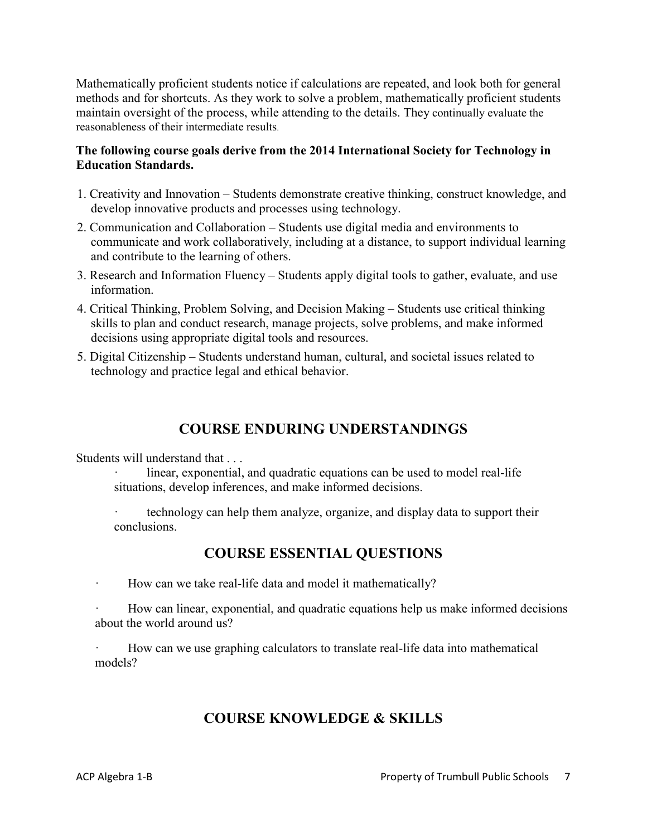Mathematically proficient students notice if calculations are repeated, and look both for general methods and for shortcuts. As they work to solve a problem, mathematically proficient students maintain oversight of the process, while attending to the details. They continually evaluate the reasonableness of their intermediate results.

## **The following course goals derive from the 2014 International Society for Technology in Education Standards.**

- 1. Creativity and Innovation Students demonstrate creative thinking, construct knowledge, and develop innovative products and processes using technology.
- 2. Communication and Collaboration Students use digital media and environments to communicate and work collaboratively, including at a distance, to support individual learning and contribute to the learning of others.
- 3. Research and Information Fluency Students apply digital tools to gather, evaluate, and use information.
- 4. Critical Thinking, Problem Solving, and Decision Making Students use critical thinking skills to plan and conduct research, manage projects, solve problems, and make informed decisions using appropriate digital tools and resources.
- 5. Digital Citizenship Students understand human, cultural, and societal issues related to technology and practice legal and ethical behavior.

## **COURSE ENDURING UNDERSTANDINGS**

Students will understand that . . .

linear, exponential, and quadratic equations can be used to model real-life situations, develop inferences, and make informed decisions.

· technology can help them analyze, organize, and display data to support their conclusions.

## **COURSE ESSENTIAL QUESTIONS**

How can we take real-life data and model it mathematically?

How can linear, exponential, and quadratic equations help us make informed decisions about the world around us?

How can we use graphing calculators to translate real-life data into mathematical models?

## **COURSE KNOWLEDGE & SKILLS**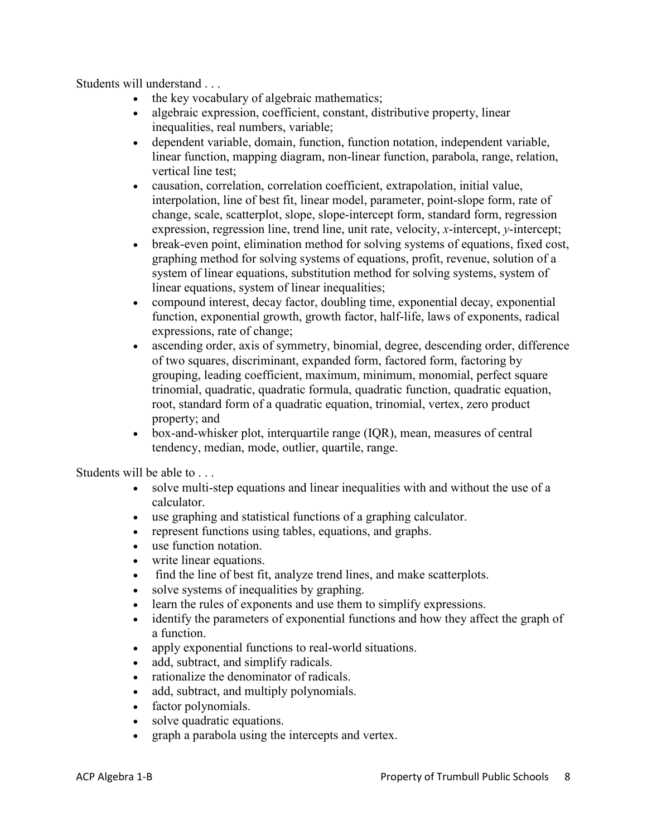Students will understand . . .

- the key vocabulary of algebraic mathematics;
- algebraic expression, coefficient, constant, distributive property, linear inequalities, real numbers, variable;
- dependent variable, domain, function, function notation, independent variable, linear function, mapping diagram, non-linear function, parabola, range, relation, vertical line test;
- causation, correlation, correlation coefficient, extrapolation, initial value, interpolation, line of best fit, linear model, parameter, point-slope form, rate of change, scale, scatterplot, slope, slope-intercept form, standard form, regression expression, regression line, trend line, unit rate, velocity, *x*-intercept, *y*-intercept;
- break-even point, elimination method for solving systems of equations, fixed cost, graphing method for solving systems of equations, profit, revenue, solution of a system of linear equations, substitution method for solving systems, system of linear equations, system of linear inequalities;
- compound interest, decay factor, doubling time, exponential decay, exponential function, exponential growth, growth factor, half-life, laws of exponents, radical expressions, rate of change;
- ascending order, axis of symmetry, binomial, degree, descending order, difference of two squares, discriminant, expanded form, factored form, factoring by grouping, leading coefficient, maximum, minimum, monomial, perfect square trinomial, quadratic, quadratic formula, quadratic function, quadratic equation, root, standard form of a quadratic equation, trinomial, vertex, zero product property; and
- box-and-whisker plot, interquartile range (IOR), mean, measures of central tendency, median, mode, outlier, quartile, range.

Students will be able to . . .

- solve multi-step equations and linear inequalities with and without the use of a calculator.
- use graphing and statistical functions of a graphing calculator.
- represent functions using tables, equations, and graphs.
- use function notation.
- write linear equations.
- find the line of best fit, analyze trend lines, and make scatterplots.
- solve systems of inequalities by graphing.
- learn the rules of exponents and use them to simplify expressions.
- identify the parameters of exponential functions and how they affect the graph of a function.
- apply exponential functions to real-world situations.
- add, subtract, and simplify radicals.
- rationalize the denominator of radicals.
- add, subtract, and multiply polynomials.
- factor polynomials.
- solve quadratic equations.
- graph a parabola using the intercepts and vertex.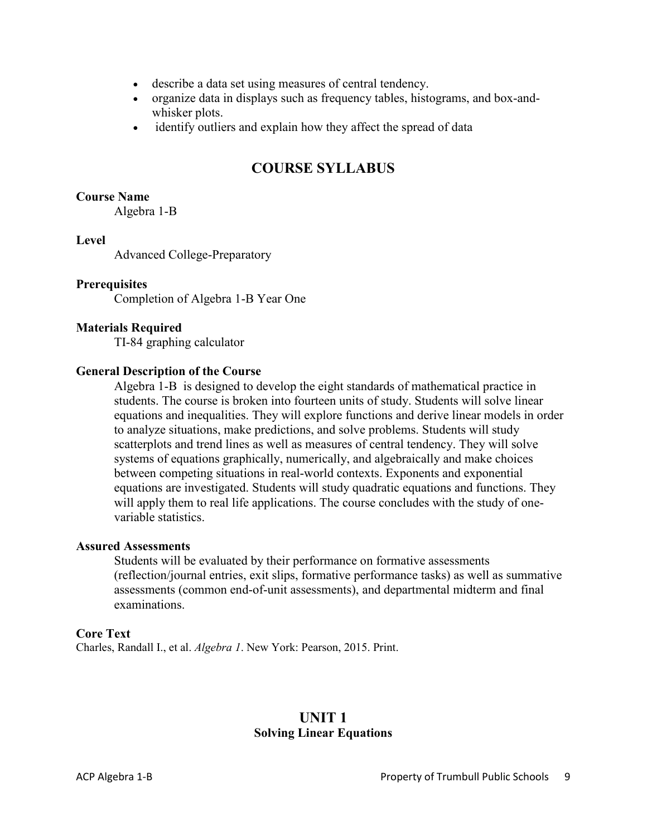- describe a data set using measures of central tendency.
- organize data in displays such as frequency tables, histograms, and box-andwhisker plots.
- identify outliers and explain how they affect the spread of data

## **COURSE SYLLABUS**

#### **Course Name**

Algebra 1-B

#### **Level**

Advanced College-Preparatory

#### **Prerequisites**

Completion of Algebra 1-B Year One

#### **Materials Required**

TI-84 graphing calculator

#### **General Description of the Course**

Algebra 1-B is designed to develop the eight standards of mathematical practice in students. The course is broken into fourteen units of study. Students will solve linear equations and inequalities. They will explore functions and derive linear models in order to analyze situations, make predictions, and solve problems. Students will study scatterplots and trend lines as well as measures of central tendency. They will solve systems of equations graphically, numerically, and algebraically and make choices between competing situations in real-world contexts. Exponents and exponential equations are investigated. Students will study quadratic equations and functions. They will apply them to real life applications. The course concludes with the study of onevariable statistics.

#### **Assured Assessments**

Students will be evaluated by their performance on formative assessments (reflection/journal entries, exit slips, formative performance tasks) as well as summative assessments (common end-of-unit assessments), and departmental midterm and final examinations.

#### **Core Text**

Charles, Randall I., et al. *Algebra 1*. New York: Pearson, 2015. Print.

## **UNIT 1 Solving Linear Equations**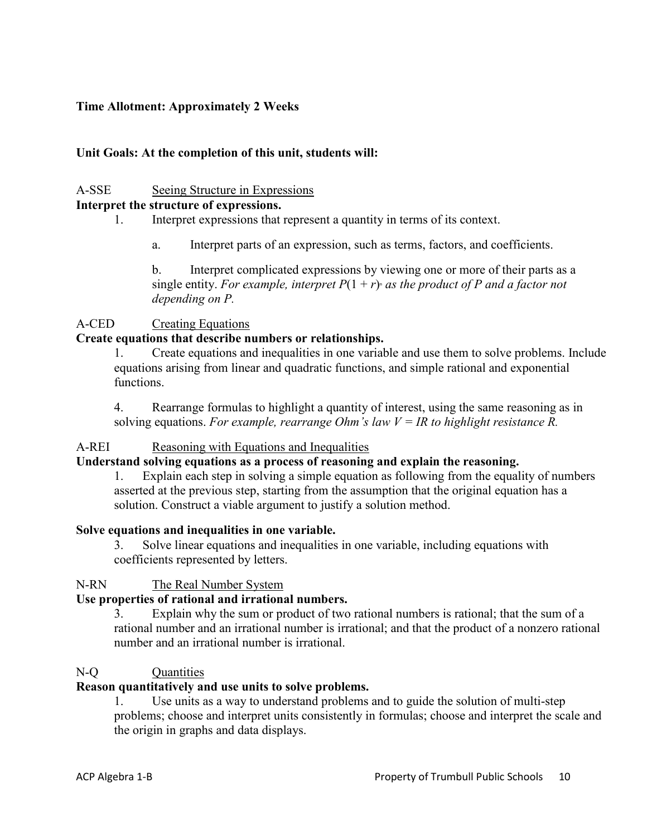## **Time Allotment: Approximately 2 Weeks**

#### **Unit Goals: At the completion of this unit, students will:**

## A-SSE Seeing Structure in Expressions

## **Interpret the structure of expressions.**

- 1. Interpret expressions that represent a quantity in terms of its context.
	- a. Interpret parts of an expression, such as terms, factors, and coefficients.

b. Interpret complicated expressions by viewing one or more of their parts as a single entity. *For example, interpret*  $P(1 + r)$  *as the product of P and a factor not depending on P.*

#### A-CED Creating Equations

#### **Create equations that describe numbers or relationships.**

1. Create equations and inequalities in one variable and use them to solve problems. Include equations arising from linear and quadratic functions, and simple rational and exponential functions.

4. Rearrange formulas to highlight a quantity of interest, using the same reasoning as in solving equations. *For example, rearrange Ohm's law V = IR to highlight resistance R.*

#### A-REI Reasoning with Equations and Inequalities

#### **Understand solving equations as a process of reasoning and explain the reasoning.**

1. Explain each step in solving a simple equation as following from the equality of numbers asserted at the previous step, starting from the assumption that the original equation has a solution. Construct a viable argument to justify a solution method.

#### **Solve equations and inequalities in one variable.**

3. Solve linear equations and inequalities in one variable, including equations with coefficients represented by letters.

#### N-RN The Real Number System

#### **Use properties of rational and irrational numbers.**

3. Explain why the sum or product of two rational numbers is rational; that the sum of a rational number and an irrational number is irrational; and that the product of a nonzero rational number and an irrational number is irrational.

#### N-Q Quantities

#### **Reason quantitatively and use units to solve problems.**

1. Use units as a way to understand problems and to guide the solution of multi-step problems; choose and interpret units consistently in formulas; choose and interpret the scale and the origin in graphs and data displays.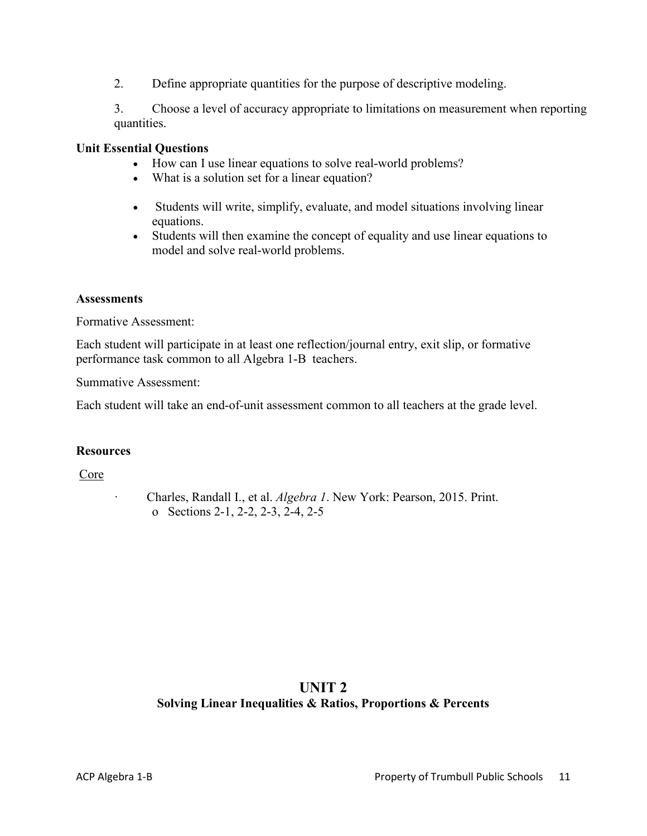2. Define appropriate quantities for the purpose of descriptive modeling.

3. Choose a level of accuracy appropriate to limitations on measurement when reporting quantities.

#### **Unit Essential Questions**

- How can I use linear equations to solve real-world problems?
- What is a solution set for a linear equation?
- Students will write, simplify, evaluate, and model situations involving linear equations.
- Students will then examine the concept of equality and use linear equations to model and solve real-world problems.

#### **Assessments**

Formative Assessment:

Each student will participate in at least one reflection/journal entry, exit slip, or formative performance task common to all Algebra 1-B teachers.

Summative Assessment:

Each student will take an end-of-unit assessment common to all teachers at the grade level.

#### **Resources**

Core

· Charles, Randall I., et al. *Algebra 1*. New York: Pearson, 2015. Print. o Sections 2-1, 2-2, 2-3, 2-4, 2-5

## **UNIT 2 Solving Linear Inequalities & Ratios, Proportions & Percents**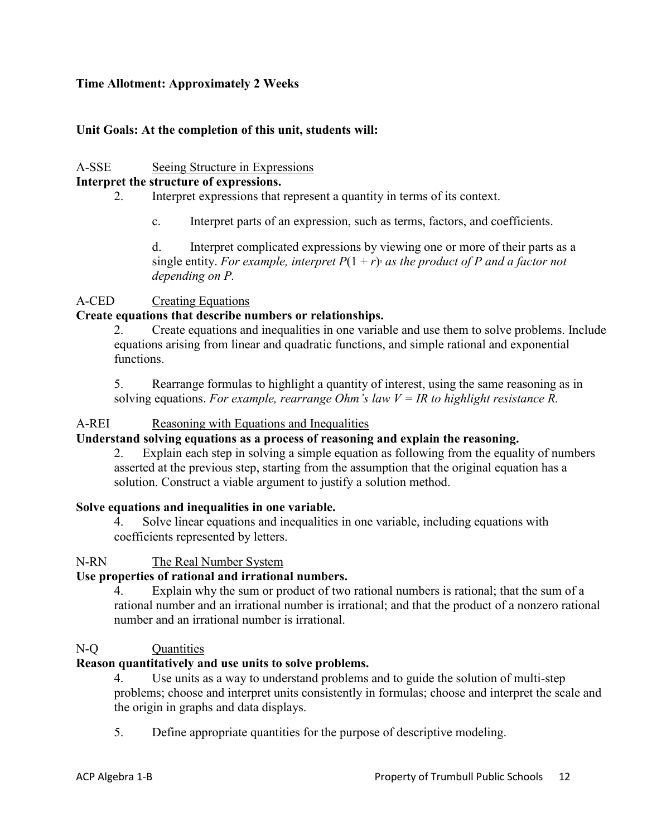#### **Time Allotment: Approximately 2 Weeks**

#### **Unit Goals: At the completion of this unit, students will:**

#### A-SSE Seeing Structure in Expressions

#### **Interpret the structure of expressions.**

- 2. Interpret expressions that represent a quantity in terms of its context.
	- c. Interpret parts of an expression, such as terms, factors, and coefficients.

d. Interpret complicated expressions by viewing one or more of their parts as a single entity. *For example, interpret*  $P(1 + r)$  *as the product of P and a factor not depending on P.*

#### A-CED Creating Equations

#### **Create equations that describe numbers or relationships.**

2. Create equations and inequalities in one variable and use them to solve problems. Include equations arising from linear and quadratic functions, and simple rational and exponential functions.

5. Rearrange formulas to highlight a quantity of interest, using the same reasoning as in solving equations. *For example, rearrange Ohm's law V = IR to highlight resistance R.*

#### A-REI Reasoning with Equations and Inequalities

#### **Understand solving equations as a process of reasoning and explain the reasoning.**

2. Explain each step in solving a simple equation as following from the equality of numbers asserted at the previous step, starting from the assumption that the original equation has a solution. Construct a viable argument to justify a solution method.

#### **Solve equations and inequalities in one variable.**

Solve linear equations and inequalities in one variable, including equations with coefficients represented by letters.

#### N-RN The Real Number System

#### **Use properties of rational and irrational numbers.**

4. Explain why the sum or product of two rational numbers is rational; that the sum of a rational number and an irrational number is irrational; and that the product of a nonzero rational number and an irrational number is irrational.

#### N-O Ouantities

## **Reason quantitatively and use units to solve problems.**

4. Use units as a way to understand problems and to guide the solution of multi-step problems; choose and interpret units consistently in formulas; choose and interpret the scale and the origin in graphs and data displays.

5. Define appropriate quantities for the purpose of descriptive modeling.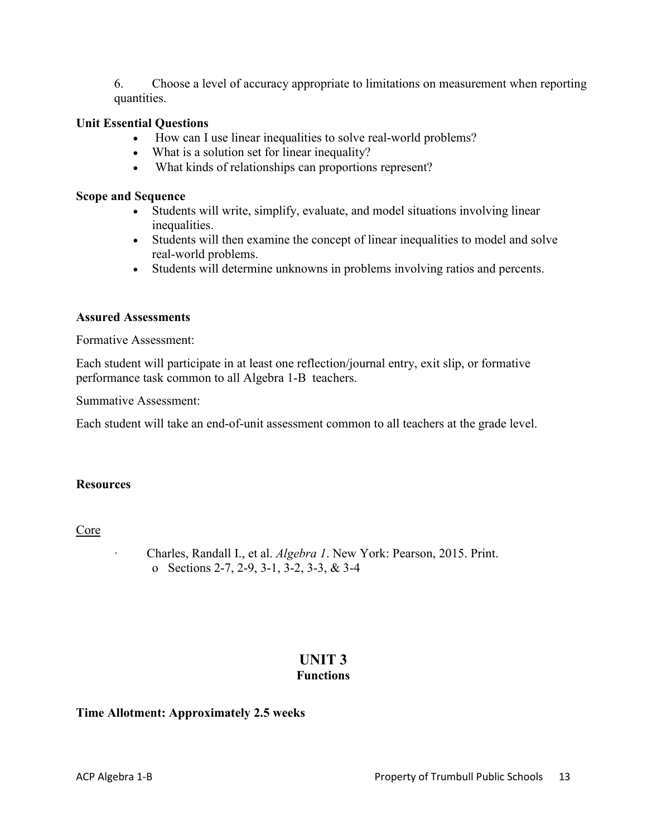6. Choose a level of accuracy appropriate to limitations on measurement when reporting quantities.

#### **Unit Essential Questions**

- How can I use linear inequalities to solve real-world problems?
- What is a solution set for linear inequality?
- What kinds of relationships can proportions represent?

#### **Scope and Sequence**

- Students will write, simplify, evaluate, and model situations involving linear inequalities.
- Students will then examine the concept of linear inequalities to model and solve real-world problems.
- Students will determine unknowns in problems involving ratios and percents.

#### **Assured Assessments**

Formative Assessment:

Each student will participate in at least one reflection/journal entry, exit slip, or formative performance task common to all Algebra 1-B teachers.

Summative Assessment:

Each student will take an end-of-unit assessment common to all teachers at the grade level.

#### **Resources**

#### Core

· Charles, Randall I., et al. *Algebra 1*. New York: Pearson, 2015. Print. o Sections 2-7, 2-9, 3-1, 3-2, 3-3, & 3-4

#### **UNIT 3 Functions**

#### **Time Allotment: Approximately 2.5 weeks**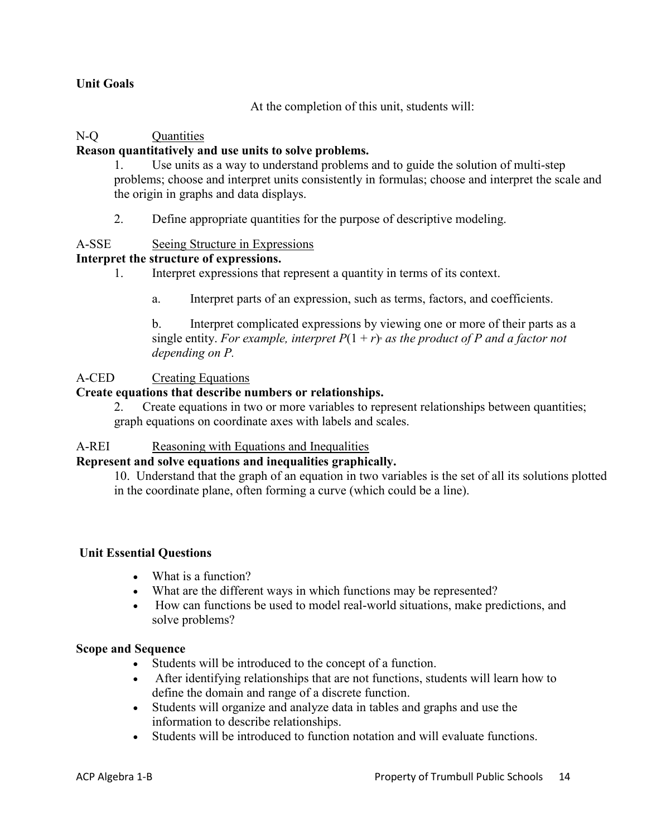#### **Unit Goals**

At the completion of this unit, students will:

## N-O Ouantities

#### **Reason quantitatively and use units to solve problems.**

1. Use units as a way to understand problems and to guide the solution of multi-step problems; choose and interpret units consistently in formulas; choose and interpret the scale and the origin in graphs and data displays.

2. Define appropriate quantities for the purpose of descriptive modeling.

#### A-SSE Seeing Structure in Expressions

#### **Interpret the structure of expressions.**

- 1. Interpret expressions that represent a quantity in terms of its context.
	- a. Interpret parts of an expression, such as terms, factors, and coefficients.

b. Interpret complicated expressions by viewing one or more of their parts as a single entity. For example, interpret  $P(1 + r)$  *as the product of P and a factor not depending on P.*

#### A-CED Creating Equations

#### **Create equations that describe numbers or relationships.**

2. Create equations in two or more variables to represent relationships between quantities; graph equations on coordinate axes with labels and scales.

#### A-REI Reasoning with Equations and Inequalities

## **Represent and solve equations and inequalities graphically.**

10. Understand that the graph of an equation in two variables is the set of all its solutions plotted in the coordinate plane, often forming a curve (which could be a line).

#### **Unit Essential Questions**

- What is a function?
- What are the different ways in which functions may be represented?
- How can functions be used to model real-world situations, make predictions, and solve problems?

#### **Scope and Sequence**

- Students will be introduced to the concept of a function.
- After identifying relationships that are not functions, students will learn how to define the domain and range of a discrete function.
- Students will organize and analyze data in tables and graphs and use the information to describe relationships.
- Students will be introduced to function notation and will evaluate functions.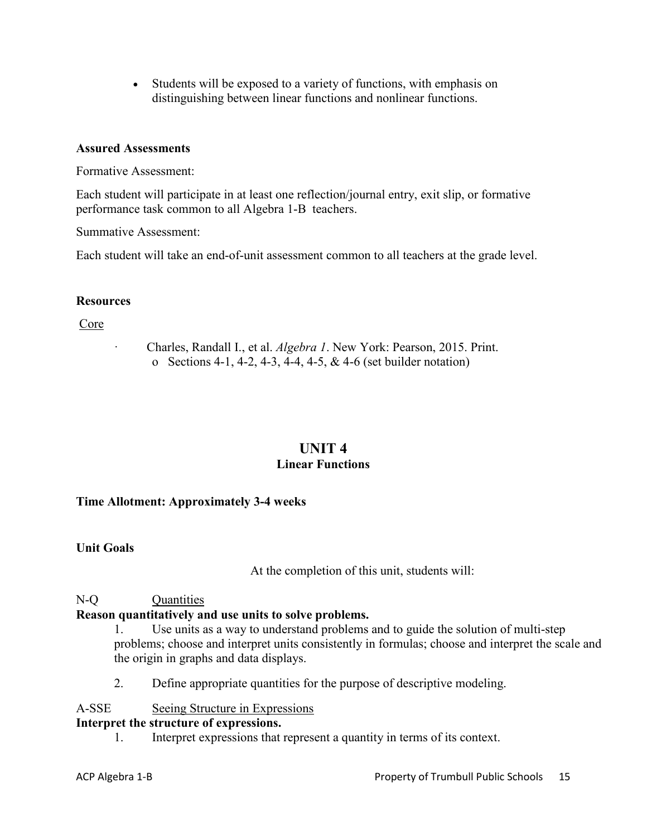• Students will be exposed to a variety of functions, with emphasis on distinguishing between linear functions and nonlinear functions.

#### **Assured Assessments**

Formative Assessment:

Each student will participate in at least one reflection/journal entry, exit slip, or formative performance task common to all Algebra 1-B teachers.

Summative Assessment:

Each student will take an end-of-unit assessment common to all teachers at the grade level.

#### **Resources**

Core

· Charles, Randall I., et al. *Algebra 1*. New York: Pearson, 2015. Print. o Sections 4-1, 4-2, 4-3, 4-4, 4-5, & 4-6 (set builder notation)

## **UNIT 4 Linear Functions**

#### **Time Allotment: Approximately 3-4 weeks**

#### **Unit Goals**

At the completion of this unit, students will:

## N-Q Quantities

## **Reason quantitatively and use units to solve problems.**

1. Use units as a way to understand problems and to guide the solution of multi-step problems; choose and interpret units consistently in formulas; choose and interpret the scale and the origin in graphs and data displays.

2. Define appropriate quantities for the purpose of descriptive modeling.

#### A-SSE Seeing Structure in Expressions

#### **Interpret the structure of expressions.**

1. Interpret expressions that represent a quantity in terms of its context.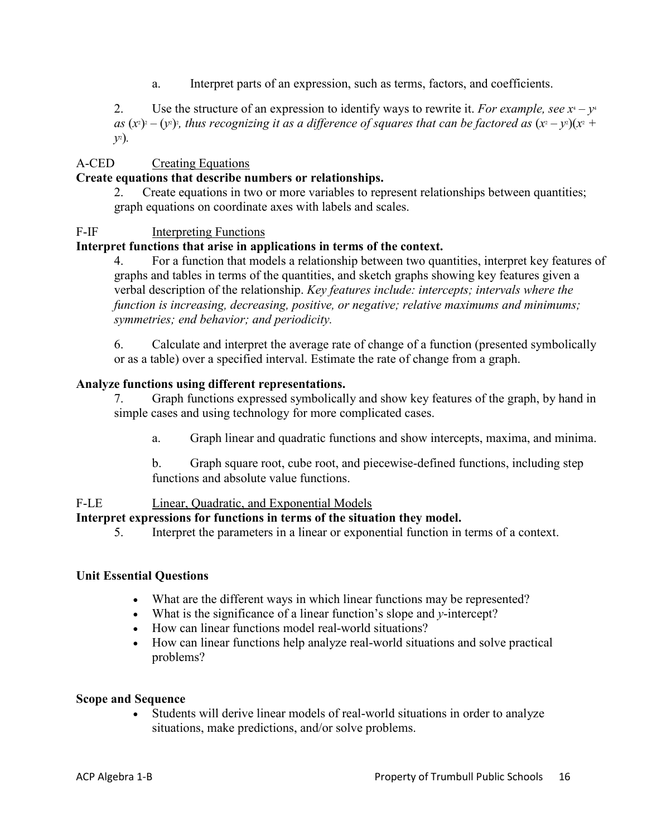a. Interpret parts of an expression, such as terms, factors, and coefficients.

2. Use the structure of an expression to identify ways to rewrite it. *For example, see*  $x^4 - y^4$ as  $(x^2) - (y^2)$ ; thus recognizing it as a difference of squares that can be factored as  $(x^2 - y^2)(x^2 + y^2)$ *y*2 )*.*

#### A-CED Creating Equations

#### **Create equations that describe numbers or relationships.**

2. Create equations in two or more variables to represent relationships between quantities; graph equations on coordinate axes with labels and scales.

#### F-IF Interpreting Functions

## **Interpret functions that arise in applications in terms of the context.**

4. For a function that models a relationship between two quantities, interpret key features of graphs and tables in terms of the quantities, and sketch graphs showing key features given a verbal description of the relationship. *Key features include: intercepts; intervals where the function is increasing, decreasing, positive, or negative; relative maximums and minimums; symmetries; end behavior; and periodicity.*

6. Calculate and interpret the average rate of change of a function (presented symbolically or as a table) over a specified interval. Estimate the rate of change from a graph.

#### **Analyze functions using different representations.**

7. Graph functions expressed symbolically and show key features of the graph, by hand in simple cases and using technology for more complicated cases.

a. Graph linear and quadratic functions and show intercepts, maxima, and minima.

b. Graph square root, cube root, and piecewise-defined functions, including step functions and absolute value functions.

#### F-LE Linear, Quadratic, and Exponential Models

#### **Interpret expressions for functions in terms of the situation they model.**

5. Interpret the parameters in a linear or exponential function in terms of a context.

#### **Unit Essential Questions**

- What are the different ways in which linear functions may be represented?
- What is the significance of a linear function's slope and *y*-intercept?
- How can linear functions model real-world situations?
- How can linear functions help analyze real-world situations and solve practical problems?

#### **Scope and Sequence**

Students will derive linear models of real-world situations in order to analyze situations, make predictions, and/or solve problems.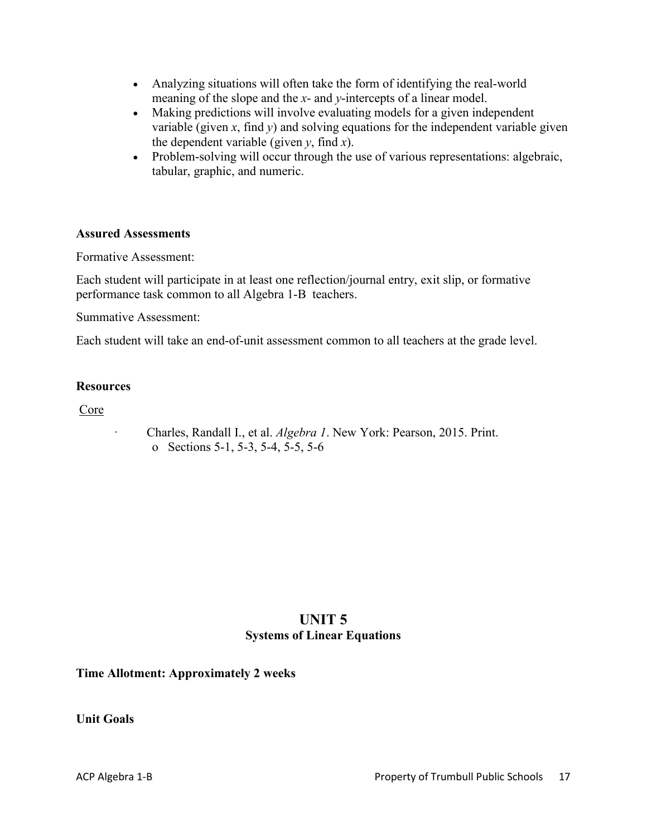- Analyzing situations will often take the form of identifying the real-world meaning of the slope and the *x*- and *y*-intercepts of a linear model.
- Making predictions will involve evaluating models for a given independent variable (given *x*, find *y*) and solving equations for the independent variable given the dependent variable (given  $y$ , find  $x$ ).
- Problem-solving will occur through the use of various representations: algebraic, tabular, graphic, and numeric.

#### **Assured Assessments**

Formative Assessment:

Each student will participate in at least one reflection/journal entry, exit slip, or formative performance task common to all Algebra 1-B teachers.

Summative Assessment:

Each student will take an end-of-unit assessment common to all teachers at the grade level.

#### **Resources**

Core

· Charles, Randall I., et al. *Algebra 1*. New York: Pearson, 2015. Print. o Sections 5-1, 5-3, 5-4, 5-5, 5-6

## **UNIT 5 Systems of Linear Equations**

**Time Allotment: Approximately 2 weeks**

**Unit Goals**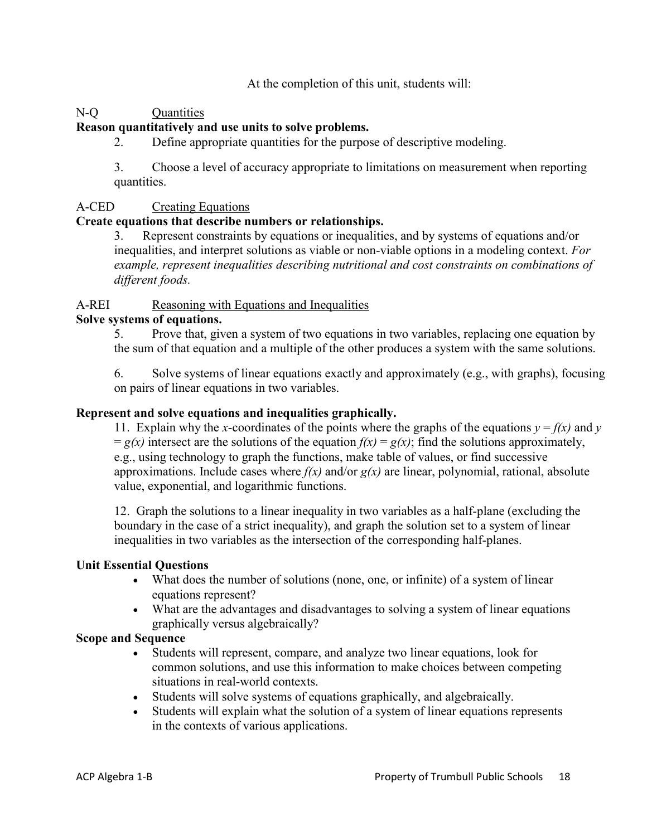At the completion of this unit, students will:

## N-Q Quantities

## **Reason quantitatively and use units to solve problems.**

2. Define appropriate quantities for the purpose of descriptive modeling.

3. Choose a level of accuracy appropriate to limitations on measurement when reporting quantities.

#### A-CED Creating Equations

#### **Create equations that describe numbers or relationships.**

3. Represent constraints by equations or inequalities, and by systems of equations and/or inequalities, and interpret solutions as viable or non-viable options in a modeling context. *For example, represent inequalities describing nutritional and cost constraints on combinations of different foods.*

## A-REI Reasoning with Equations and Inequalities

#### **Solve systems of equations.**

5. Prove that, given a system of two equations in two variables, replacing one equation by the sum of that equation and a multiple of the other produces a system with the same solutions.

6. Solve systems of linear equations exactly and approximately (e.g., with graphs), focusing on pairs of linear equations in two variables.

#### **Represent and solve equations and inequalities graphically.**

11. Explain why the *x*-coordinates of the points where the graphs of the equations  $y = f(x)$  and *y*  $= g(x)$  intersect are the solutions of the equation  $f(x) = g(x)$ ; find the solutions approximately, e.g., using technology to graph the functions, make table of values, or find successive approximations. Include cases where *f(x)* and/or *g(x)* are linear, polynomial, rational, absolute value, exponential, and logarithmic functions.

12. Graph the solutions to a linear inequality in two variables as a half-plane (excluding the boundary in the case of a strict inequality), and graph the solution set to a system of linear inequalities in two variables as the intersection of the corresponding half-planes.

## **Unit Essential Questions**

- What does the number of solutions (none, one, or infinite) of a system of linear equations represent?
- What are the advantages and disadvantages to solving a system of linear equations graphically versus algebraically?

#### **Scope and Sequence**

- Students will represent, compare, and analyze two linear equations, look for common solutions, and use this information to make choices between competing situations in real-world contexts.
- Students will solve systems of equations graphically, and algebraically.
- Students will explain what the solution of a system of linear equations represents in the contexts of various applications.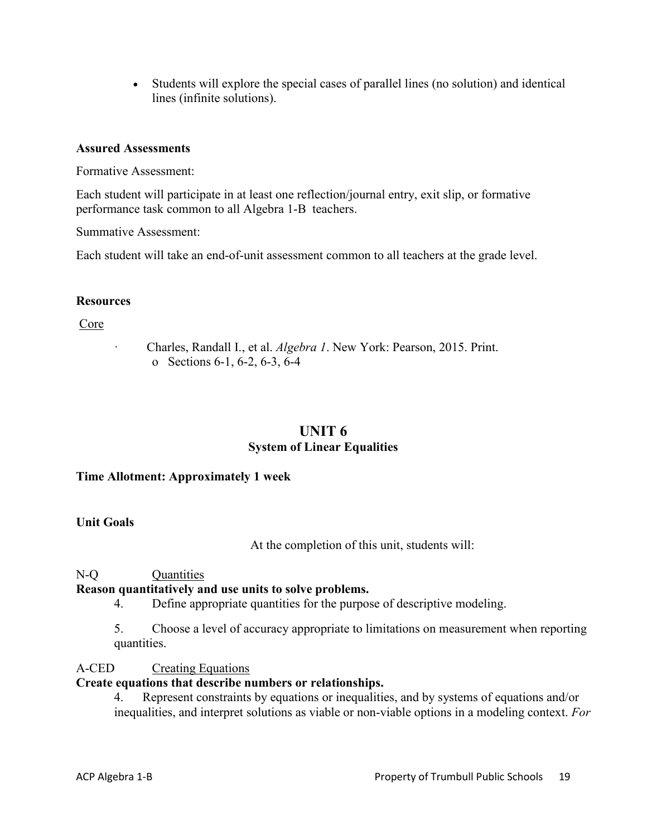• Students will explore the special cases of parallel lines (no solution) and identical lines (infinite solutions).

#### **Assured Assessments**

Formative Assessment:

Each student will participate in at least one reflection/journal entry, exit slip, or formative performance task common to all Algebra 1-B teachers.

Summative Assessment:

Each student will take an end-of-unit assessment common to all teachers at the grade level.

#### **Resources**

Core

· Charles, Randall I., et al. *Algebra 1*. New York: Pearson, 2015. Print. o Sections 6-1, 6-2, 6-3, 6-4

## **UNIT 6 System of Linear Equalities**

#### **Time Allotment: Approximately 1 week**

#### **Unit Goals**

At the completion of this unit, students will:

#### N-Q Quantities

## **Reason quantitatively and use units to solve problems.**

- 4. Define appropriate quantities for the purpose of descriptive modeling.
- 5. Choose a level of accuracy appropriate to limitations on measurement when reporting quantities.

#### A-CED Creating Equations

#### **Create equations that describe numbers or relationships.**

4. Represent constraints by equations or inequalities, and by systems of equations and/or inequalities, and interpret solutions as viable or non-viable options in a modeling context. *For*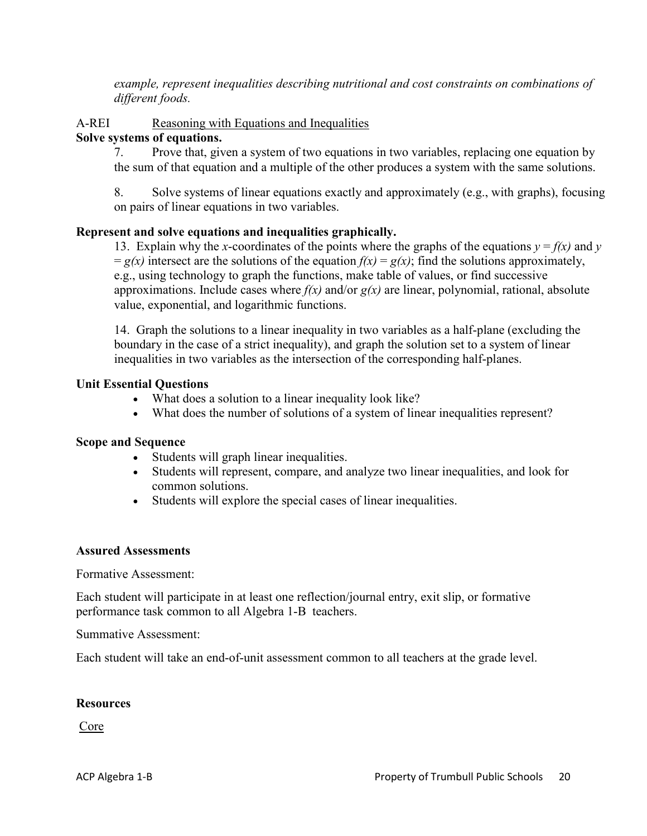*example, represent inequalities describing nutritional and cost constraints on combinations of different foods.*

## A-REI Reasoning with Equations and Inequalities

#### **Solve systems of equations.**

7. Prove that, given a system of two equations in two variables, replacing one equation by the sum of that equation and a multiple of the other produces a system with the same solutions.

8. Solve systems of linear equations exactly and approximately (e.g., with graphs), focusing on pairs of linear equations in two variables.

#### **Represent and solve equations and inequalities graphically.**

13. Explain why the *x*-coordinates of the points where the graphs of the equations  $y = f(x)$  and  $y = f(x)$  $= g(x)$  intersect are the solutions of the equation  $f(x) = g(x)$ ; find the solutions approximately, e.g., using technology to graph the functions, make table of values, or find successive approximations. Include cases where *f(x)* and/or *g(x)* are linear, polynomial, rational, absolute value, exponential, and logarithmic functions.

14. Graph the solutions to a linear inequality in two variables as a half-plane (excluding the boundary in the case of a strict inequality), and graph the solution set to a system of linear inequalities in two variables as the intersection of the corresponding half-planes.

#### **Unit Essential Questions**

- What does a solution to a linear inequality look like?
- What does the number of solutions of a system of linear inequalities represent?

#### **Scope and Sequence**

- Students will graph linear inequalities.
- Students will represent, compare, and analyze two linear inequalities, and look for common solutions.
- Students will explore the special cases of linear inequalities.

#### **Assured Assessments**

Formative Assessment:

Each student will participate in at least one reflection/journal entry, exit slip, or formative performance task common to all Algebra 1-B teachers.

Summative Assessment:

Each student will take an end-of-unit assessment common to all teachers at the grade level.

#### **Resources**

Core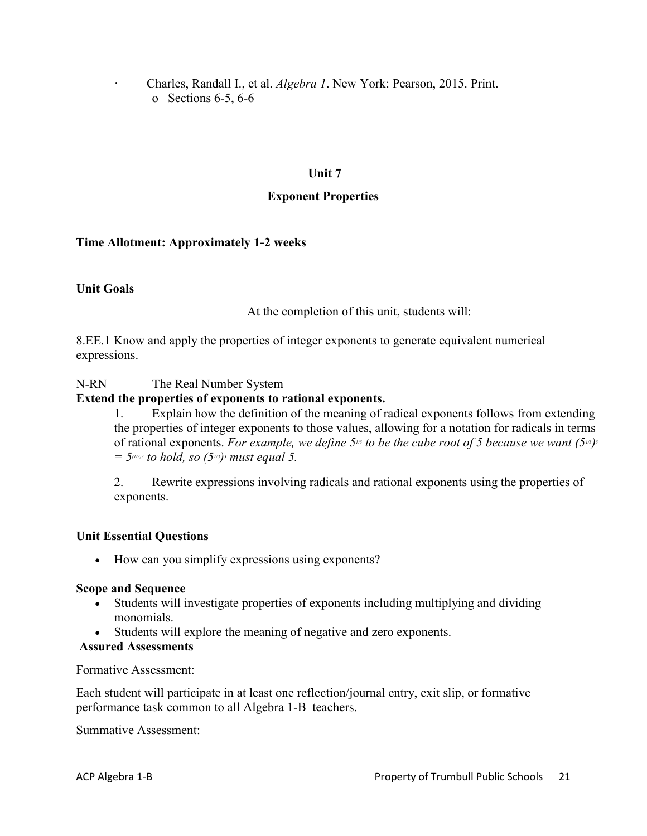· Charles, Randall I., et al. *Algebra 1*. New York: Pearson, 2015. Print. o Sections 6-5, 6-6

#### **Unit 7**

#### **Exponent Properties**

#### **Time Allotment: Approximately 1-2 weeks**

#### **Unit Goals**

At the completion of this unit, students will:

8.EE.1 Know and apply the properties of integer exponents to generate equivalent numerical expressions.

#### N-RN The Real Number System

#### **Extend the properties of exponents to rational exponents.**

1. Explain how the definition of the meaning of radical exponents follows from extending the properties of integer exponents to those values, allowing for a notation for radicals in terms of rational exponents. *For example, we define 51/3 to be the cube root of 5 because we want (51/3)3*  $=$  5<sup> $(1/3)3$ </sup> *to hold, so (5<sup>13</sup>)<sup>3</sup> must equal 5.* 

2. Rewrite expressions involving radicals and rational exponents using the properties of exponents.

#### **Unit Essential Questions**

• How can you simplify expressions using exponents?

#### **Scope and Sequence**

- Students will investigate properties of exponents including multiplying and dividing monomials.
- Students will explore the meaning of negative and zero exponents.

#### **Assured Assessments**

Formative Assessment:

Each student will participate in at least one reflection/journal entry, exit slip, or formative performance task common to all Algebra 1-B teachers.

Summative Assessment: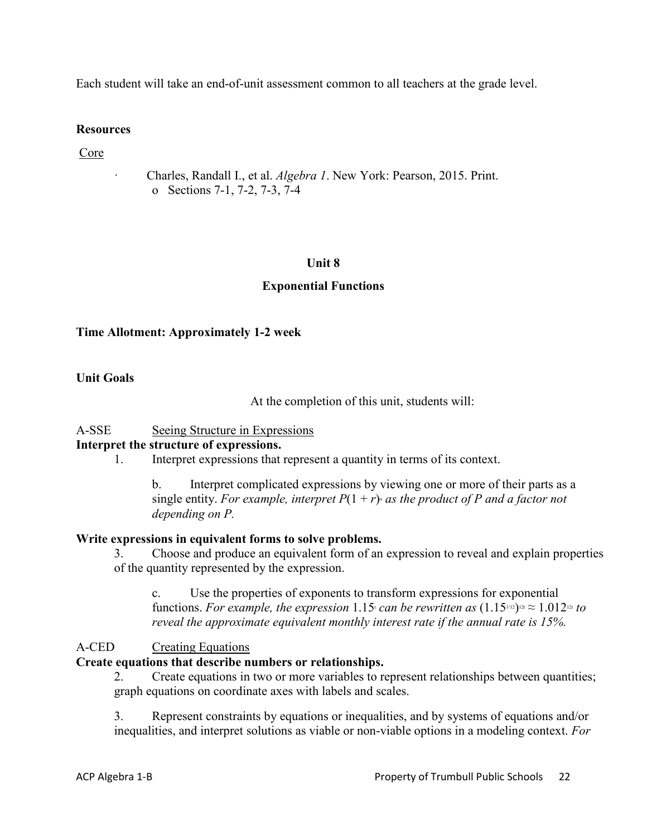Each student will take an end-of-unit assessment common to all teachers at the grade level.

#### **Resources**

Core

· Charles, Randall I., et al. *Algebra 1*. New York: Pearson, 2015. Print. o Sections 7-1, 7-2, 7-3, 7-4

#### **Unit 8**

#### **Exponential Functions**

#### **Time Allotment: Approximately 1-2 week**

#### **Unit Goals**

At the completion of this unit, students will:

#### A-SSE Seeing Structure in Expressions

#### **Interpret the structure of expressions.**

1. Interpret expressions that represent a quantity in terms of its context.

b. Interpret complicated expressions by viewing one or more of their parts as a single entity. *For example, interpret*  $P(1 + r)$  *as the product of P and a factor not depending on P.*

#### **Write expressions in equivalent forms to solve problems.**

3. Choose and produce an equivalent form of an expression to reveal and explain properties of the quantity represented by the expression.

c. Use the properties of exponents to transform expressions for exponential functions. *For example, the expression* 1.15 *can be rewritten as*  $(1.15)^{1/2} \approx 1.012^{12}$  *to reveal the approximate equivalent monthly interest rate if the annual rate is 15%.*

#### A-CED Creating Equations

#### **Create equations that describe numbers or relationships.**

2. Create equations in two or more variables to represent relationships between quantities; graph equations on coordinate axes with labels and scales.

3. Represent constraints by equations or inequalities, and by systems of equations and/or inequalities, and interpret solutions as viable or non-viable options in a modeling context. *For*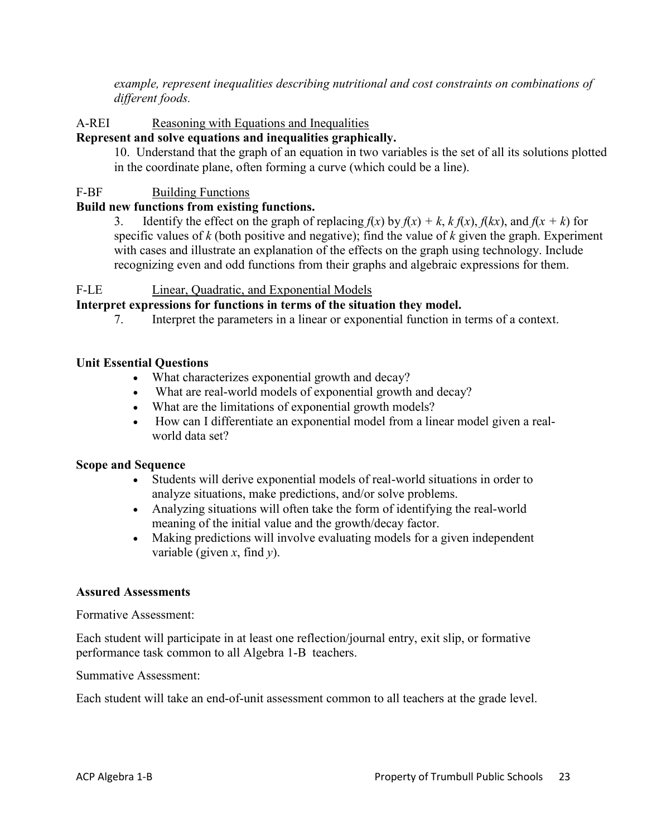*example, represent inequalities describing nutritional and cost constraints on combinations of different foods.*

#### A-REI Reasoning with Equations and Inequalities

#### **Represent and solve equations and inequalities graphically.**

10. Understand that the graph of an equation in two variables is the set of all its solutions plotted in the coordinate plane, often forming a curve (which could be a line).

#### F-BF Building Functions

#### **Build new functions from existing functions.**

3. Identify the effect on the graph of replacing  $f(x)$  by  $f(x) + k$ ,  $k f(x)$ ,  $f(kx)$ , and  $f(x + k)$  for specific values of *k* (both positive and negative); find the value of *k* given the graph. Experiment with cases and illustrate an explanation of the effects on the graph using technology. Include recognizing even and odd functions from their graphs and algebraic expressions for them.

#### F-LE Linear, Quadratic, and Exponential Models

#### **Interpret expressions for functions in terms of the situation they model.**

7. Interpret the parameters in a linear or exponential function in terms of a context.

#### **Unit Essential Questions**

- What characterizes exponential growth and decay?
- What are real-world models of exponential growth and decay?
- What are the limitations of exponential growth models?
- How can I differentiate an exponential model from a linear model given a realworld data set?

#### **Scope and Sequence**

- Students will derive exponential models of real-world situations in order to analyze situations, make predictions, and/or solve problems.
- Analyzing situations will often take the form of identifying the real-world meaning of the initial value and the growth/decay factor.
- Making predictions will involve evaluating models for a given independent variable (given *x*, find *y*).

#### **Assured Assessments**

Formative Assessment:

Each student will participate in at least one reflection/journal entry, exit slip, or formative performance task common to all Algebra 1-B teachers.

Summative Assessment:

Each student will take an end-of-unit assessment common to all teachers at the grade level.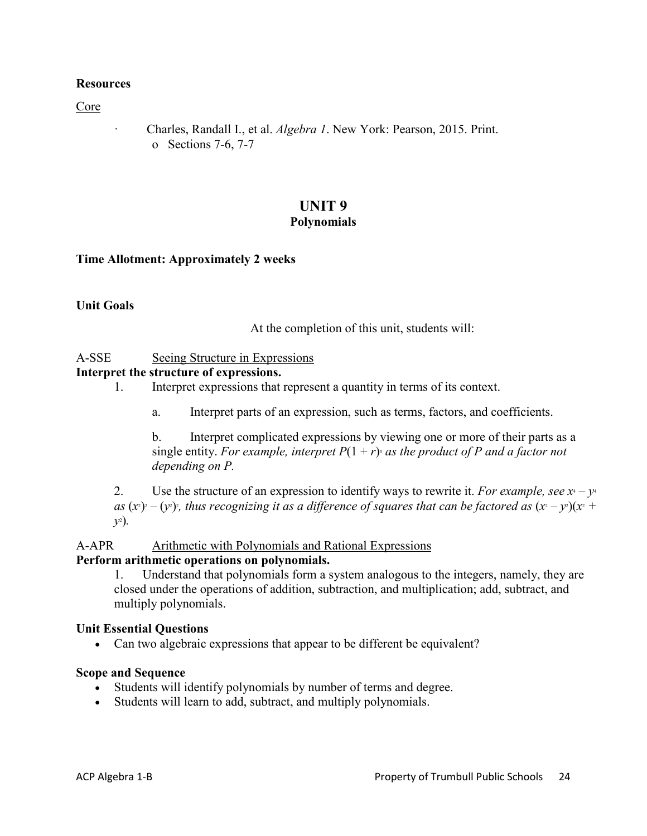#### **Resources**

Core

· Charles, Randall I., et al. *Algebra 1*. New York: Pearson, 2015. Print. o Sections 7-6, 7-7

#### **UNIT 9 Polynomials**

#### **Time Allotment: Approximately 2 weeks**

#### **Unit Goals**

At the completion of this unit, students will:

#### A-SSE Seeing Structure in Expressions

#### **Interpret the structure of expressions.**

- 1. Interpret expressions that represent a quantity in terms of its context.
	- a. Interpret parts of an expression, such as terms, factors, and coefficients.

b. Interpret complicated expressions by viewing one or more of their parts as a single entity. *For example, interpret*  $P(1 + r)$  *as the product of P and a factor not depending on P.*

2. Use the structure of an expression to identify ways to rewrite it. *For example, see*  $x^4 - y^4$ as  $(x^2) - (y^2)$ ; thus recognizing it as a difference of squares that can be factored as  $(x^2 - y^2)(x^2 + y^2)$ *y*2 )*.*

#### A-APR Arithmetic with Polynomials and Rational Expressions

#### **Perform arithmetic operations on polynomials.**

1. Understand that polynomials form a system analogous to the integers, namely, they are closed under the operations of addition, subtraction, and multiplication; add, subtract, and multiply polynomials.

#### **Unit Essential Questions**

• Can two algebraic expressions that appear to be different be equivalent?

#### **Scope and Sequence**

- Students will identify polynomials by number of terms and degree.
- Students will learn to add, subtract, and multiply polynomials.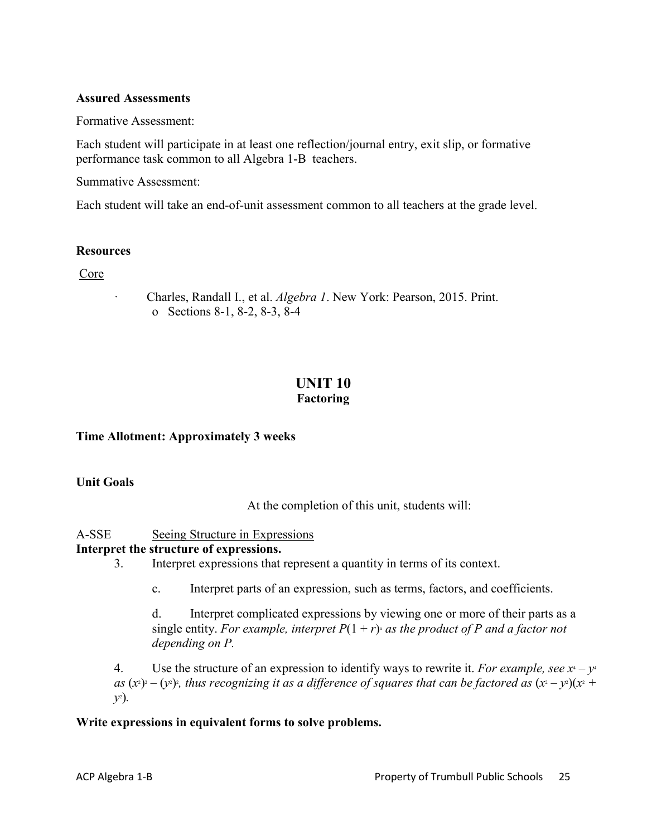#### **Assured Assessments**

Formative Assessment:

Each student will participate in at least one reflection/journal entry, exit slip, or formative performance task common to all Algebra 1-B teachers.

Summative Assessment:

Each student will take an end-of-unit assessment common to all teachers at the grade level.

#### **Resources**

Core

· Charles, Randall I., et al. *Algebra 1*. New York: Pearson, 2015. Print. o Sections 8-1, 8-2, 8-3, 8-4

# **UNIT 10**

## **Factoring**

#### **Time Allotment: Approximately 3 weeks**

#### **Unit Goals**

At the completion of this unit, students will:

A-SSE Seeing Structure in Expressions

#### **Interpret the structure of expressions.**

- 3. Interpret expressions that represent a quantity in terms of its context.
	- c. Interpret parts of an expression, such as terms, factors, and coefficients.

d. Interpret complicated expressions by viewing one or more of their parts as a single entity. *For example, interpret*  $P(1 + r)$  *as the product of P and a factor not depending on P.*

4. Use the structure of an expression to identify ways to rewrite it. *For example, see*  $x^4 - y^4$ as  $(x^2) - (y^2)$ ; thus recognizing it as a difference of squares that can be factored as  $(x^2 - y^2)(x^2 + y^2)$ *y*2 )*.*

#### **Write expressions in equivalent forms to solve problems.**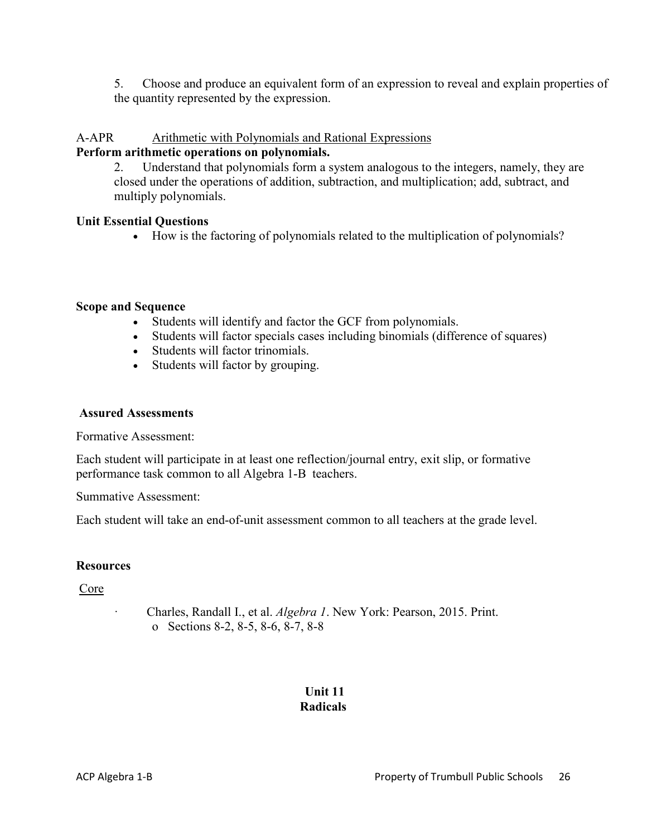5. Choose and produce an equivalent form of an expression to reveal and explain properties of the quantity represented by the expression.

#### A-APR Arithmetic with Polynomials and Rational Expressions

#### **Perform arithmetic operations on polynomials.**

2. Understand that polynomials form a system analogous to the integers, namely, they are closed under the operations of addition, subtraction, and multiplication; add, subtract, and multiply polynomials.

#### **Unit Essential Questions**

• How is the factoring of polynomials related to the multiplication of polynomials?

#### **Scope and Sequence**

- Students will identify and factor the GCF from polynomials.
- Students will factor specials cases including binomials (difference of squares)
- Students will factor trinomials.
- Students will factor by grouping.

#### **Assured Assessments**

Formative Assessment:

Each student will participate in at least one reflection/journal entry, exit slip, or formative performance task common to all Algebra 1-B teachers.

Summative Assessment:

Each student will take an end-of-unit assessment common to all teachers at the grade level.

## **Resources**

Core

· Charles, Randall I., et al. *Algebra 1*. New York: Pearson, 2015. Print. o Sections 8-2, 8-5, 8-6, 8-7, 8-8

## **Unit 11 Radicals**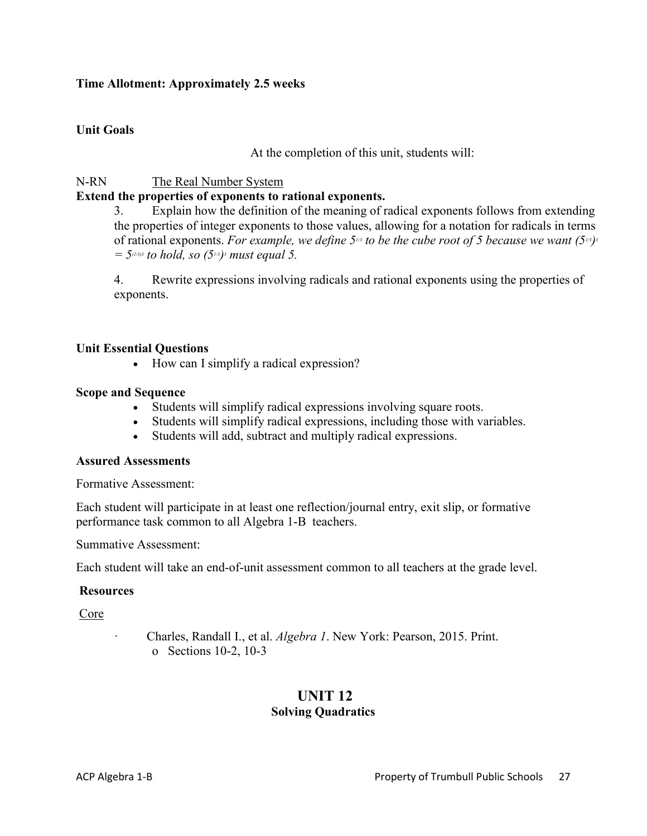#### **Time Allotment: Approximately 2.5 weeks**

#### **Unit Goals**

At the completion of this unit, students will:

#### N-RN The Real Number System

#### **Extend the properties of exponents to rational exponents.**

3. Explain how the definition of the meaning of radical exponents follows from extending the properties of integer exponents to those values, allowing for a notation for radicals in terms of rational exponents. *For example, we define 51/3 to be the cube root of 5 because we want (51/3)3*  $=$  5<sup> $(1/3)3$ </sup> *to hold, so (5<sup>13</sup>)<sup>3</sup> must equal 5.* 

4. Rewrite expressions involving radicals and rational exponents using the properties of exponents.

#### **Unit Essential Questions**

• How can I simplify a radical expression?

#### **Scope and Sequence**

- Students will simplify radical expressions involving square roots.
- Students will simplify radical expressions, including those with variables.
- Students will add, subtract and multiply radical expressions.

#### **Assured Assessments**

Formative Assessment:

Each student will participate in at least one reflection/journal entry, exit slip, or formative performance task common to all Algebra 1-B teachers.

Summative Assessment:

Each student will take an end-of-unit assessment common to all teachers at the grade level.

#### **Resources**

Core

· Charles, Randall I., et al. *Algebra 1*. New York: Pearson, 2015. Print. o Sections 10-2, 10-3

## **UNIT 12 Solving Quadratics**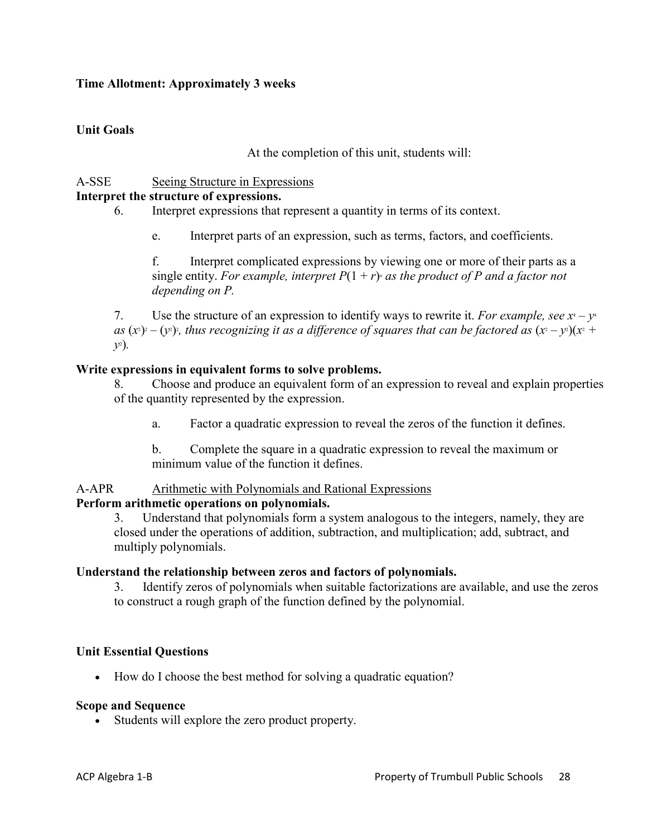#### **Time Allotment: Approximately 3 weeks**

## **Unit Goals**

At the completion of this unit, students will:

## A-SSE Seeing Structure in Expressions

## **Interpret the structure of expressions.**

6. Interpret expressions that represent a quantity in terms of its context.

e. Interpret parts of an expression, such as terms, factors, and coefficients.

f. Interpret complicated expressions by viewing one or more of their parts as a single entity. *For example, interpret*  $P(1 + r)$  *as the product of P and a factor not depending on P.*

7. Use the structure of an expression to identify ways to rewrite it. *For example, see*  $x^4 - y^4$ as  $(x^2) - (y^2)$ ; thus recognizing it as a difference of squares that can be factored as  $(x^2 - y^2)(x^2 + y^2)$ *y*2 )*.*

#### **Write expressions in equivalent forms to solve problems.**

8. Choose and produce an equivalent form of an expression to reveal and explain properties of the quantity represented by the expression.

a. Factor a quadratic expression to reveal the zeros of the function it defines.

b. Complete the square in a quadratic expression to reveal the maximum or minimum value of the function it defines.

#### A-APR Arithmetic with Polynomials and Rational Expressions

#### **Perform arithmetic operations on polynomials.**

3. Understand that polynomials form a system analogous to the integers, namely, they are closed under the operations of addition, subtraction, and multiplication; add, subtract, and multiply polynomials.

#### **Understand the relationship between zeros and factors of polynomials.**

3. Identify zeros of polynomials when suitable factorizations are available, and use the zeros to construct a rough graph of the function defined by the polynomial.

## **Unit Essential Questions**

• How do I choose the best method for solving a quadratic equation?

#### **Scope and Sequence**

• Students will explore the zero product property.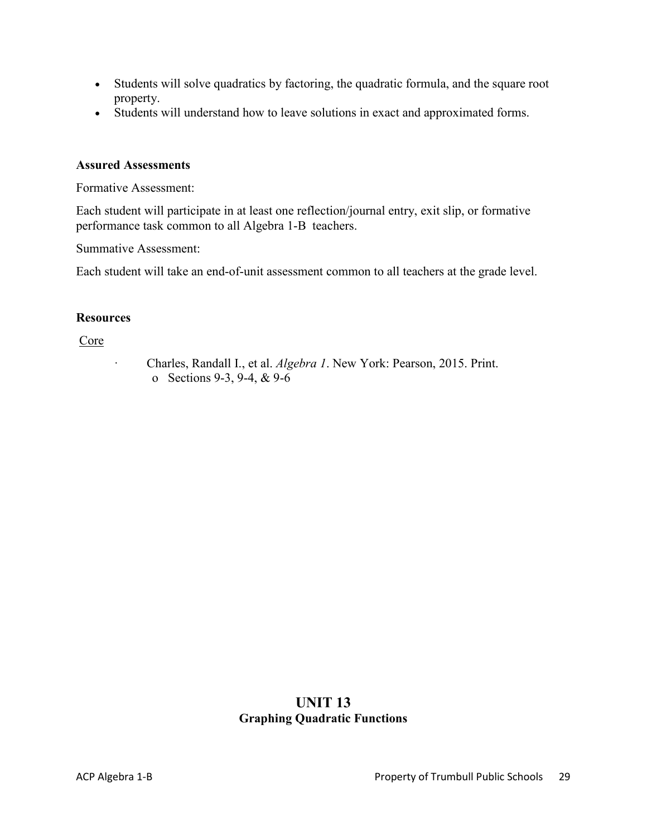- Students will solve quadratics by factoring, the quadratic formula, and the square root property.
- Students will understand how to leave solutions in exact and approximated forms.

#### **Assured Assessments**

Formative Assessment:

Each student will participate in at least one reflection/journal entry, exit slip, or formative performance task common to all Algebra 1-B teachers.

Summative Assessment:

Each student will take an end-of-unit assessment common to all teachers at the grade level.

#### **Resources**

Core

· Charles, Randall I., et al. *Algebra 1*. New York: Pearson, 2015. Print. o Sections 9-3, 9-4, & 9-6

## **UNIT 13 Graphing Quadratic Functions**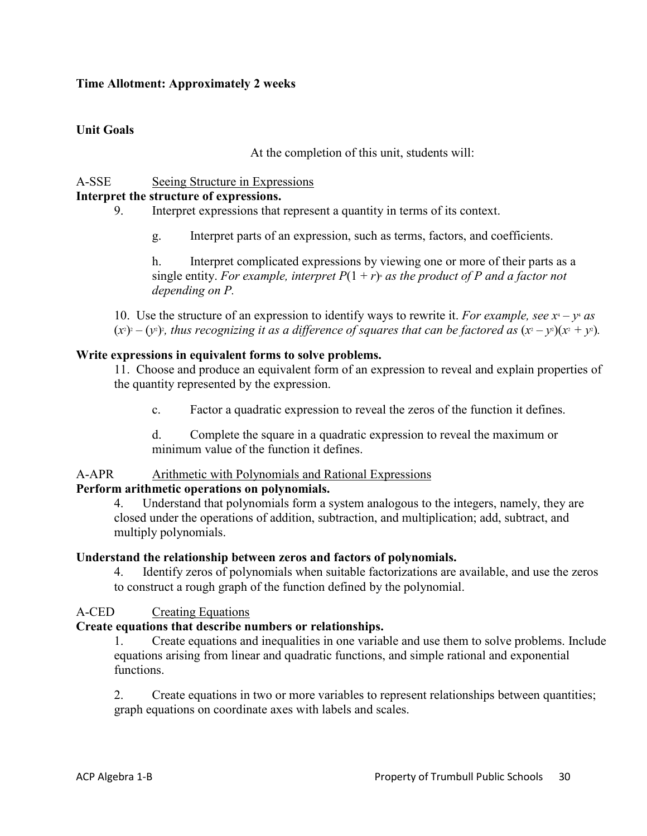#### **Time Allotment: Approximately 2 weeks**

## **Unit Goals**

At the completion of this unit, students will:

## A-SSE Seeing Structure in Expressions

## **Interpret the structure of expressions.**

9. Interpret expressions that represent a quantity in terms of its context.

g. Interpret parts of an expression, such as terms, factors, and coefficients.

h. Interpret complicated expressions by viewing one or more of their parts as a single entity. *For example, interpret*  $P(1 + r)$  *as the product of P and a factor not depending on P.*

10. Use the structure of an expression to identify ways to rewrite it. *For example, see*  $x^4 - y^4$  *as*  $(x^2)^2 - (y^2)$ , thus recognizing it as a difference of squares that can be factored as  $(x^2 - y^2)(x^2 + y^2)$ .

#### **Write expressions in equivalent forms to solve problems.**

11. Choose and produce an equivalent form of an expression to reveal and explain properties of the quantity represented by the expression.

c. Factor a quadratic expression to reveal the zeros of the function it defines.

d. Complete the square in a quadratic expression to reveal the maximum or minimum value of the function it defines.

#### A-APR Arithmetic with Polynomials and Rational Expressions

#### **Perform arithmetic operations on polynomials.**

4. Understand that polynomials form a system analogous to the integers, namely, they are closed under the operations of addition, subtraction, and multiplication; add, subtract, and multiply polynomials.

#### **Understand the relationship between zeros and factors of polynomials.**

4. Identify zeros of polynomials when suitable factorizations are available, and use the zeros to construct a rough graph of the function defined by the polynomial.

## A-CED Creating Equations

## **Create equations that describe numbers or relationships.**

1. Create equations and inequalities in one variable and use them to solve problems. Include equations arising from linear and quadratic functions, and simple rational and exponential functions.

2. Create equations in two or more variables to represent relationships between quantities; graph equations on coordinate axes with labels and scales.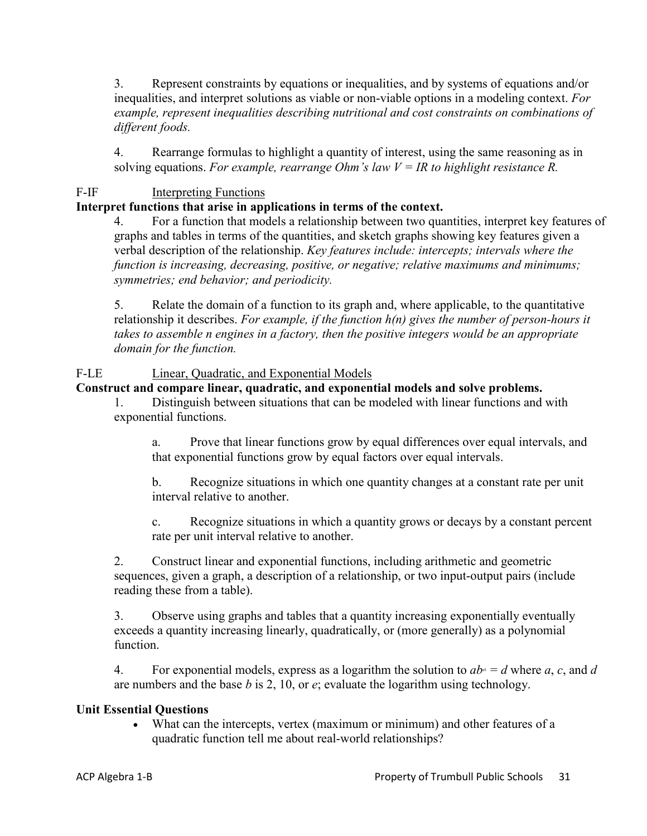3. Represent constraints by equations or inequalities, and by systems of equations and/or inequalities, and interpret solutions as viable or non-viable options in a modeling context. *For example, represent inequalities describing nutritional and cost constraints on combinations of different foods.*

4. Rearrange formulas to highlight a quantity of interest, using the same reasoning as in solving equations. For example, rearrange Ohm's law  $V = IR$  to highlight resistance R.

## F-IF Interpreting Functions

## **Interpret functions that arise in applications in terms of the context.**

4. For a function that models a relationship between two quantities, interpret key features of graphs and tables in terms of the quantities, and sketch graphs showing key features given a verbal description of the relationship. *Key features include: intercepts; intervals where the function is increasing, decreasing, positive, or negative; relative maximums and minimums; symmetries; end behavior; and periodicity.*

5. Relate the domain of a function to its graph and, where applicable, to the quantitative relationship it describes. *For example, if the function h(n) gives the number of person-hours it takes to assemble n engines in a factory, then the positive integers would be an appropriate domain for the function.*

## F-LE Linear, Quadratic, and Exponential Models

## **Construct and compare linear, quadratic, and exponential models and solve problems.**

1. Distinguish between situations that can be modeled with linear functions and with exponential functions.

a. Prove that linear functions grow by equal differences over equal intervals, and that exponential functions grow by equal factors over equal intervals.

b. Recognize situations in which one quantity changes at a constant rate per unit interval relative to another.

c. Recognize situations in which a quantity grows or decays by a constant percent rate per unit interval relative to another.

2. Construct linear and exponential functions, including arithmetic and geometric sequences, given a graph, a description of a relationship, or two input-output pairs (include reading these from a table).

3. Observe using graphs and tables that a quantity increasing exponentially eventually exceeds a quantity increasing linearly, quadratically, or (more generally) as a polynomial function.

4. For exponential models, express as a logarithm the solution to  $ab<sup>a</sup> = d$  where a, c, and d are numbers and the base *b* is 2, 10, or *e*; evaluate the logarithm using technology.

## **Unit Essential Questions**

• What can the intercepts, vertex (maximum or minimum) and other features of a quadratic function tell me about real-world relationships?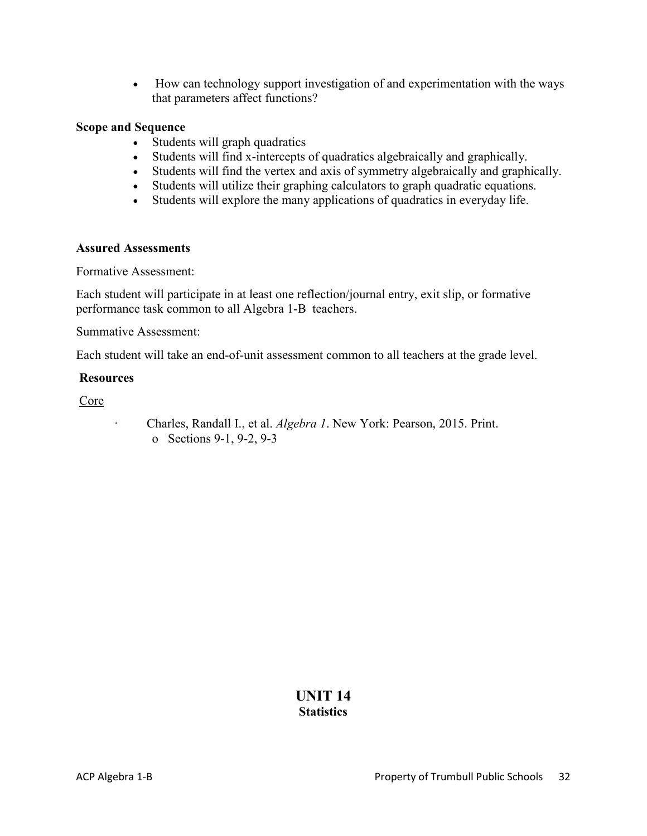• How can technology support investigation of and experimentation with the ways that parameters affect functions?

#### **Scope and Sequence**

- Students will graph quadratics
- Students will find x-intercepts of quadratics algebraically and graphically.
- Students will find the vertex and axis of symmetry algebraically and graphically.
- Students will utilize their graphing calculators to graph quadratic equations.
- Students will explore the many applications of quadratics in everyday life.

#### **Assured Assessments**

Formative Assessment:

Each student will participate in at least one reflection/journal entry, exit slip, or formative performance task common to all Algebra 1-B teachers.

Summative Assessment:

Each student will take an end-of-unit assessment common to all teachers at the grade level.

#### **Resources**

Core

· Charles, Randall I., et al. *Algebra 1*. New York: Pearson, 2015. Print. o Sections 9-1, 9-2, 9-3

## **UNIT 14 Statistics**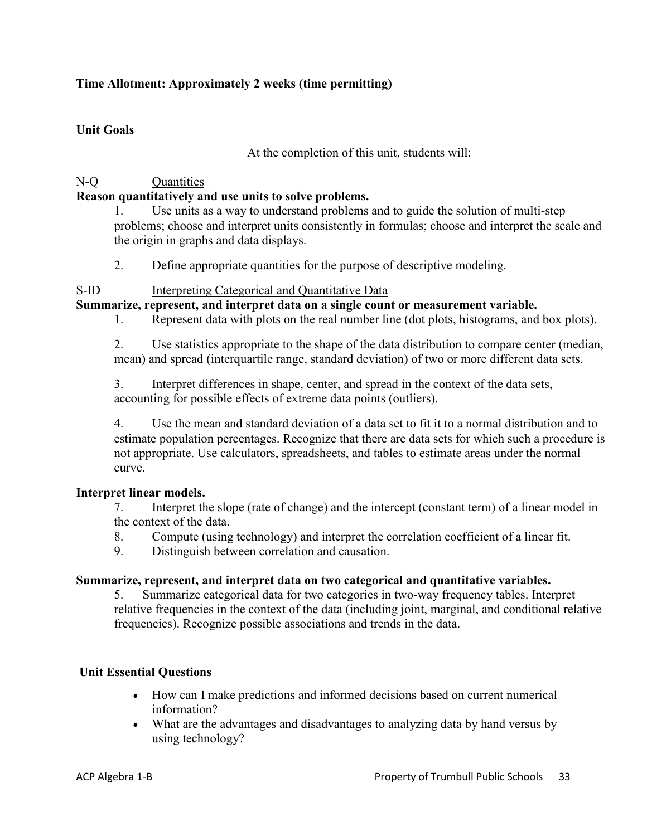## **Time Allotment: Approximately 2 weeks (time permitting)**

## **Unit Goals**

At the completion of this unit, students will:

## N-Q Quantities

## **Reason quantitatively and use units to solve problems.**

1. Use units as a way to understand problems and to guide the solution of multi-step problems; choose and interpret units consistently in formulas; choose and interpret the scale and the origin in graphs and data displays.

2. Define appropriate quantities for the purpose of descriptive modeling.

## S-ID Interpreting Categorical and Quantitative Data

## **Summarize, represent, and interpret data on a single count or measurement variable.**

1. Represent data with plots on the real number line (dot plots, histograms, and box plots).

2. Use statistics appropriate to the shape of the data distribution to compare center (median, mean) and spread (interquartile range, standard deviation) of two or more different data sets.

3. Interpret differences in shape, center, and spread in the context of the data sets, accounting for possible effects of extreme data points (outliers).

4. Use the mean and standard deviation of a data set to fit it to a normal distribution and to estimate population percentages. Recognize that there are data sets for which such a procedure is not appropriate. Use calculators, spreadsheets, and tables to estimate areas under the normal curve.

## **Interpret linear models.**

7. Interpret the slope (rate of change) and the intercept (constant term) of a linear model in the context of the data.

- 8. Compute (using technology) and interpret the correlation coefficient of a linear fit.
- 9. Distinguish between correlation and causation.

## **Summarize, represent, and interpret data on two categorical and quantitative variables.**

5. Summarize categorical data for two categories in two-way frequency tables. Interpret relative frequencies in the context of the data (including joint, marginal, and conditional relative frequencies). Recognize possible associations and trends in the data.

## **Unit Essential Questions**

- How can I make predictions and informed decisions based on current numerical information?
- What are the advantages and disadvantages to analyzing data by hand versus by using technology?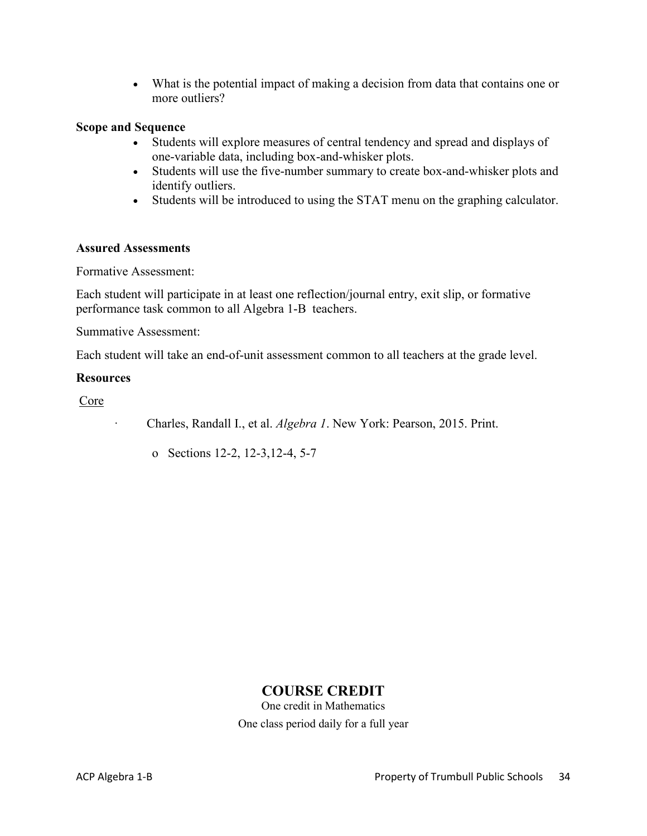• What is the potential impact of making a decision from data that contains one or more outliers?

#### **Scope and Sequence**

- Students will explore measures of central tendency and spread and displays of one-variable data, including box-and-whisker plots.
- Students will use the five-number summary to create box-and-whisker plots and identify outliers.
- Students will be introduced to using the STAT menu on the graphing calculator.

#### **Assured Assessments**

Formative Assessment:

Each student will participate in at least one reflection/journal entry, exit slip, or formative performance task common to all Algebra 1-B teachers.

Summative Assessment:

Each student will take an end-of-unit assessment common to all teachers at the grade level.

#### **Resources**

Core

· Charles, Randall I., et al. *Algebra 1*. New York: Pearson, 2015. Print.

o Sections 12-2, 12-3,12-4, 5-7

## **COURSE CREDIT**

One credit in Mathematics One class period daily for a full year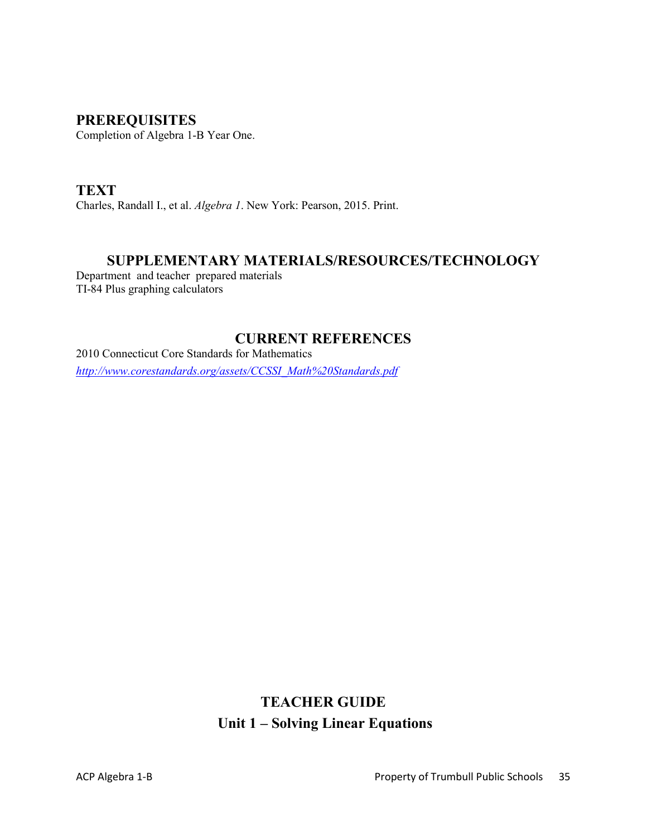## **PREREQUISITES**

Completion of Algebra 1-B Year One.

**TEXT** Charles, Randall I., et al. *Algebra 1*. New York: Pearson, 2015. Print.

## **SUPPLEMENTARY MATERIALS/RESOURCES/TECHNOLOGY**

Department and teacher prepared materials TI-84 Plus graphing calculators

## **CURRENT REFERENCES**

2010 Connecticut Core Standards for Mathematics *[http://www.corestandards.org/assets/CCSSI\\_Math%20Standards.pdf](http://www.corestandards.org/assets/CCSSI_Math%20Standards.pdf)*

## **TEACHER GUIDE Unit 1 – Solving Linear Equations**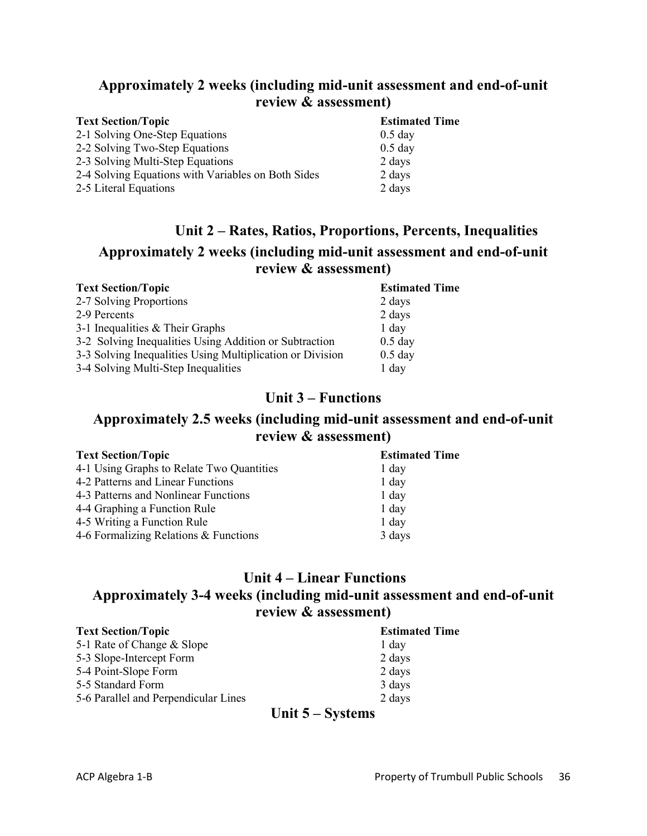## **Approximately 2 weeks (including mid-unit assessment and end-of-unit review & assessment)**

| <b>Text Section/Topic</b>                          | <b>Estimated Time</b> |
|----------------------------------------------------|-----------------------|
| 2-1 Solving One-Step Equations                     | $0.5$ day             |
| 2-2 Solving Two-Step Equations                     | $0.5$ day             |
| 2-3 Solving Multi-Step Equations                   | 2 days                |
| 2-4 Solving Equations with Variables on Both Sides | 2 days                |
| 2-5 Literal Equations                              | 2 days                |

## **Unit 2 – Rates, Ratios, Proportions, Percents, Inequalities**

## **Approximately 2 weeks (including mid-unit assessment and end-of-unit review & assessment)**

| <b>Text Section/Topic</b>                                 | <b>Estimated Time</b> |
|-----------------------------------------------------------|-----------------------|
| 2-7 Solving Proportions                                   | 2 days                |
| 2-9 Percents                                              | 2 days                |
| 3-1 Inequalities & Their Graphs                           | $1$ day               |
| 3-2 Solving Inequalities Using Addition or Subtraction    | $0.5$ day             |
| 3-3 Solving Inequalities Using Multiplication or Division | $0.5$ day             |
| 3-4 Solving Multi-Step Inequalities                       | $1$ day               |

## **Unit 3 – Functions**

## **Approximately 2.5 weeks (including mid-unit assessment and end-of-unit review & assessment)**

| <b>Estimated Time</b> |  |
|-----------------------|--|
| 1 day                 |  |
| $1$ day               |  |
| 1 day                 |  |
| 1 day                 |  |
| 1 day                 |  |
| 3 days                |  |
|                       |  |

## **Unit 4 – Linear Functions Approximately 3-4 weeks (including mid-unit assessment and end-of-unit review & assessment)**

| <b>Text Section/Topic</b>            | <b>Estimated Time</b> |
|--------------------------------------|-----------------------|
| 5-1 Rate of Change & Slope           | 1 day                 |
| 5-3 Slope-Intercept Form             | 2 days                |
| 5-4 Point-Slope Form                 | 2 days                |
| 5-5 Standard Form                    | 3 days                |
| 5-6 Parallel and Perpendicular Lines | 2 days                |

## **Unit 5 – Systems**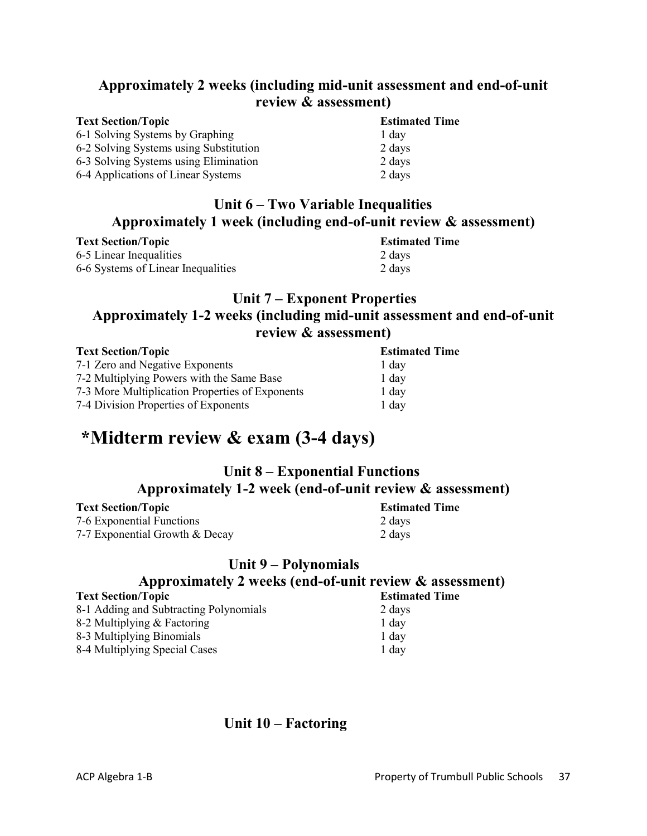## **Approximately 2 weeks (including mid-unit assessment and end-of-unit review & assessment)**

| <b>Text Section/Topic</b>              | <b>Estimated Time</b> |
|----------------------------------------|-----------------------|
| 6-1 Solving Systems by Graphing        | 1 day                 |
| 6-2 Solving Systems using Substitution | 2 days                |
| 6-3 Solving Systems using Elimination  | 2 days                |
| 6-4 Applications of Linear Systems     | 2 days                |

## **Unit 6 – Two Variable Inequalities Approximately 1 week (including end-of-unit review & assessment)**

| <b>Text Section/Topic</b>          | <b>Estimated Time</b> |  |
|------------------------------------|-----------------------|--|
| 6-5 Linear Inequalities            | 2 days                |  |
| 6-6 Systems of Linear Inequalities | 2 days                |  |

## **Unit 7 – Exponent Properties Approximately 1-2 weeks (including mid-unit assessment and end-of-unit review & assessment)**

| <b>Text Section/Topic</b>                       | <b>Estimated Time</b> |
|-------------------------------------------------|-----------------------|
| 7-1 Zero and Negative Exponents                 | 1 day                 |
| 7-2 Multiplying Powers with the Same Base       | $1$ day               |
| 7-3 More Multiplication Properties of Exponents | $1$ day               |
| 7-4 Division Properties of Exponents            | $1$ day               |

## **\*Midterm review & exam (3-4 days)**

## **Unit 8 – Exponential Functions Approximately 1-2 week (end-of-unit review & assessment)**

**Text Section/Topic Estimated Time** 7-6 Exponential Functions 2 days 7-7 Exponential Growth & Decay 2 days

## **Unit 9 – Polynomials Approximately 2 weeks (end-of-unit review & assessment)**

#### **Text Section/Topic Estimated Time** 8-1 Adding and Subtracting Polynomials 2 days 8-2 Multiplying & Factoring 1 day 8-3 Multiplying Binomials 1 day

8-4 Multiplying Special Cases 1 day

 **Unit 10 – Factoring**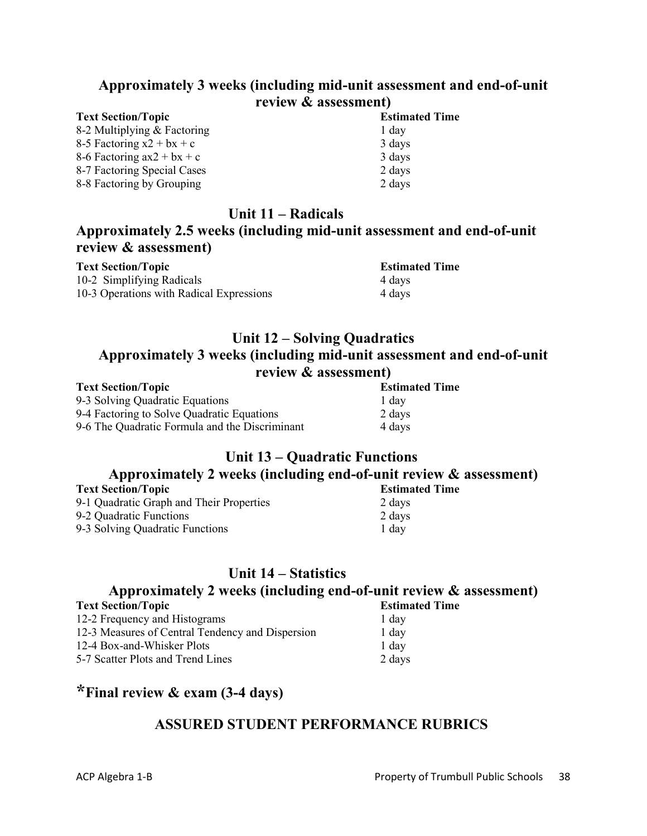## **Approximately 3 weeks (including mid-unit assessment and end-of-unit review & assessment)**

| <b>Text Section/Topic</b>    | <b>Estimated Time</b> |
|------------------------------|-----------------------|
| 8-2 Multiplying & Factoring  | 1 day                 |
| 8-5 Factoring $x2 + bx + c$  | 3 days                |
| 8-6 Factoring $ax2 + bx + c$ | 3 days                |
| 8-7 Factoring Special Cases  | 2 days                |
| 8-8 Factoring by Grouping    | 2 days                |

## **Unit 11 – Radicals**

## **Approximately 2.5 weeks (including mid-unit assessment and end-of-unit review & assessment)**

| <b>Text Section/Topic</b>                | <b>Estimated Time</b> |
|------------------------------------------|-----------------------|
| 10-2 Simplifying Radicals                | 4 days                |
| 10-3 Operations with Radical Expressions | 4 days                |

## **Unit 12 – Solving Quadratics Approximately 3 weeks (including mid-unit assessment and end-of-unit review & assessment)**

| <b>Text Section/Topic</b>                      | <b>Estimated Time</b> |
|------------------------------------------------|-----------------------|
| 9-3 Solving Quadratic Equations                | 1 day                 |
| 9-4 Factoring to Solve Quadratic Equations     | 2 days                |
| 9-6 The Quadratic Formula and the Discriminant | 4 days                |

## **Unit 13 – Quadratic Functions**

# **Approximately 2 weeks (including end-of-unit review & assessment)**

| <b>Text Section/Topic</b>                | <b>Estimated Time</b> |  |
|------------------------------------------|-----------------------|--|
| 9-1 Quadratic Graph and Their Properties | 2 days                |  |
| 9-2 Quadratic Functions                  | 2 days                |  |
| 9-3 Solving Quadratic Functions          | 1 day                 |  |

## **Unit 14 – Statistics Approximately 2 weeks (including end-of-unit review & assessment) Text Section/Topic**

| 12-2 Frequency and Histograms                    | 1 day  |
|--------------------------------------------------|--------|
| 12-3 Measures of Central Tendency and Dispersion | 1 day  |
| 12-4 Box-and-Whisker Plots                       | 1 day  |
| 5-7 Scatter Plots and Trend Lines                | 2 days |

## **\*Final review & exam (3-4 days)**

## **ASSURED STUDENT PERFORMANCE RUBRICS**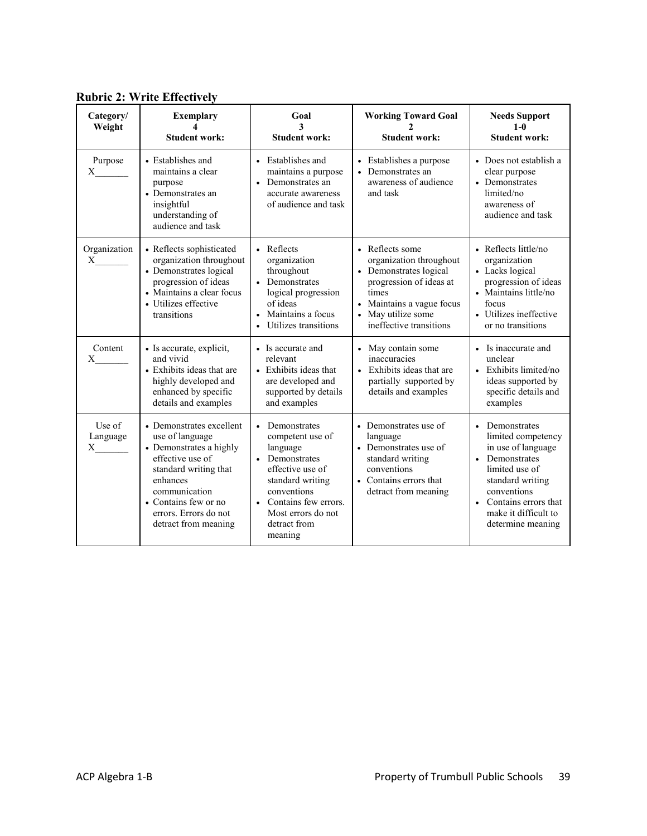| Category/<br>Weight                       | <b>Exemplary</b><br><b>Student work:</b>                                                                                                                                                                                  | Goal<br>3<br><b>Student work:</b>                                                                                                                                                                           | <b>Working Toward Goal</b><br><b>Student work:</b>                                                                                                                                     | <b>Needs Support</b><br>$1 - 0$<br><b>Student work:</b>                                                                                                                                                                        |
|-------------------------------------------|---------------------------------------------------------------------------------------------------------------------------------------------------------------------------------------------------------------------------|-------------------------------------------------------------------------------------------------------------------------------------------------------------------------------------------------------------|----------------------------------------------------------------------------------------------------------------------------------------------------------------------------------------|--------------------------------------------------------------------------------------------------------------------------------------------------------------------------------------------------------------------------------|
| Purpose<br>X                              | • Establishes and<br>maintains a clear<br>purpose<br>• Demonstrates an<br>insightful<br>understanding of<br>audience and task                                                                                             | Establishes and<br>maintains a purpose<br>Demonstrates an<br>accurate awareness<br>of audience and task                                                                                                     | • Establishes a purpose<br>• Demonstrates an<br>awareness of audience<br>and task                                                                                                      | • Does not establish a<br>clear purpose<br>• Demonstrates<br>limited/no<br>awareness of<br>audience and task                                                                                                                   |
| Organization<br>$\boldsymbol{\mathrm{X}}$ | • Reflects sophisticated<br>organization throughout<br>• Demonstrates logical<br>progression of ideas<br>• Maintains a clear focus<br>• Utilizes effective<br>transitions                                                 | • Reflects<br>organization<br>throughout<br>• Demonstrates<br>logical progression<br>of ideas<br>Maintains a focus<br>Utilizes transitions                                                                  | • Reflects some<br>organization throughout<br>• Demonstrates logical<br>progression of ideas at<br>times<br>• Maintains a vague focus<br>• May utilize some<br>ineffective transitions | • Reflects little/no<br>organization<br>• Lacks logical<br>progression of ideas<br>• Maintains little/no<br>focus<br>• Utilizes ineffective<br>or no transitions                                                               |
| Content<br>X                              | • Is accurate, explicit,<br>and vivid<br>• Exhibits ideas that are<br>highly developed and<br>enhanced by specific<br>details and examples                                                                                | • Is accurate and<br>relevant<br>• Exhibits ideas that<br>are developed and<br>supported by details<br>and examples                                                                                         | • May contain some<br>inaccuracies<br>Exhibits ideas that are<br>partially supported by<br>details and examples                                                                        | • Is inaccurate and<br>unclear<br>Exhibits limited/no<br>ideas supported by<br>specific details and<br>examples                                                                                                                |
| Use of<br>Language<br>$X \sim$            | • Demonstrates excellent<br>use of language<br>• Demonstrates a highly<br>effective use of<br>standard writing that<br>enhances<br>communication<br>• Contains few or no<br>errors. Errors do not<br>detract from meaning | • Demonstrates<br>competent use of<br>language<br>Demonstrates<br>effective use of<br>standard writing<br>conventions<br>Contains few errors.<br>$\bullet$<br>Most errors do not<br>detract from<br>meaning | • Demonstrates use of<br>language<br>• Demonstrates use of<br>standard writing<br>conventions<br>• Contains errors that<br>detract from meaning                                        | • Demonstrates<br>limited competency<br>in use of language<br>Demonstrates<br>$\bullet$<br>limited use of<br>standard writing<br>conventions<br>Contains errors that<br>$\bullet$<br>make it difficult to<br>determine meaning |

**Rubric 2: Write Effectively**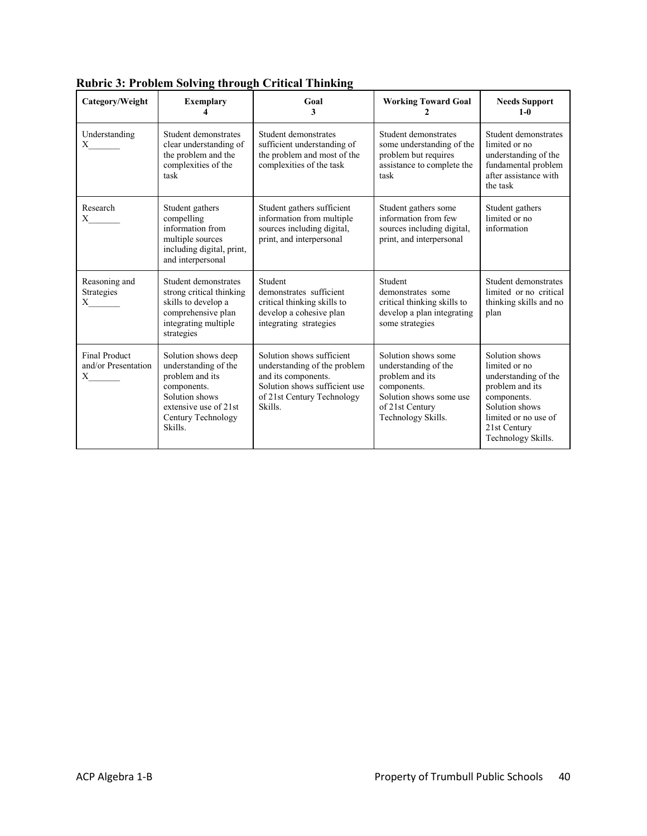| Category/Weight                                          | <b>Exemplary</b>                                                                                                                                          | Goal<br>3                                                                                                                                                  | <b>Working Toward Goal</b>                                                                                                                        | <b>Needs Support</b><br>$1-0$                                                                                                                                             |
|----------------------------------------------------------|-----------------------------------------------------------------------------------------------------------------------------------------------------------|------------------------------------------------------------------------------------------------------------------------------------------------------------|---------------------------------------------------------------------------------------------------------------------------------------------------|---------------------------------------------------------------------------------------------------------------------------------------------------------------------------|
| Understanding                                            | Student demonstrates<br>clear understanding of<br>the problem and the<br>complexities of the<br>task                                                      | Student demonstrates<br>sufficient understanding of<br>the problem and most of the<br>complexities of the task                                             | Student demonstrates<br>some understanding of the<br>problem but requires<br>assistance to complete the<br>task                                   | Student demonstrates<br>limited or no<br>understanding of the<br>fundamental problem<br>after assistance with<br>the task                                                 |
| Research<br>$\boldsymbol{\mathrm{X}}$                    | Student gathers<br>compelling<br>information from<br>multiple sources<br>including digital, print,<br>and interpersonal                                   | Student gathers sufficient<br>information from multiple<br>sources including digital,<br>print, and interpersonal                                          | Student gathers some<br>information from few<br>sources including digital,<br>print, and interpersonal                                            | Student gathers<br>limited or no<br>information                                                                                                                           |
| Reasoning and<br>Strategies<br>$\boldsymbol{\mathrm{X}}$ | Student demonstrates<br>strong critical thinking<br>skills to develop a<br>comprehensive plan<br>integrating multiple<br>strategies                       | Student<br>demonstrates sufficient<br>critical thinking skills to<br>develop a cohesive plan<br>integrating strategies                                     | Student<br>demonstrates some<br>critical thinking skills to<br>develop a plan integrating<br>some strategies                                      | Student demonstrates<br>limited or no critical<br>thinking skills and no<br>plan                                                                                          |
| <b>Final Product</b><br>and/or Presentation              | Solution shows deep<br>understanding of the<br>problem and its<br>components.<br>Solution shows<br>extensive use of 21st<br>Century Technology<br>Skills. | Solution shows sufficient<br>understanding of the problem<br>and its components.<br>Solution shows sufficient use<br>of 21st Century Technology<br>Skills. | Solution shows some<br>understanding of the<br>problem and its<br>components.<br>Solution shows some use<br>of 21st Century<br>Technology Skills. | Solution shows<br>limited or no<br>understanding of the<br>problem and its<br>components.<br>Solution shows<br>limited or no use of<br>21st Century<br>Technology Skills. |

| <b>Rubric 3: Problem Solving through Critical Thinking</b> |  |
|------------------------------------------------------------|--|
|------------------------------------------------------------|--|